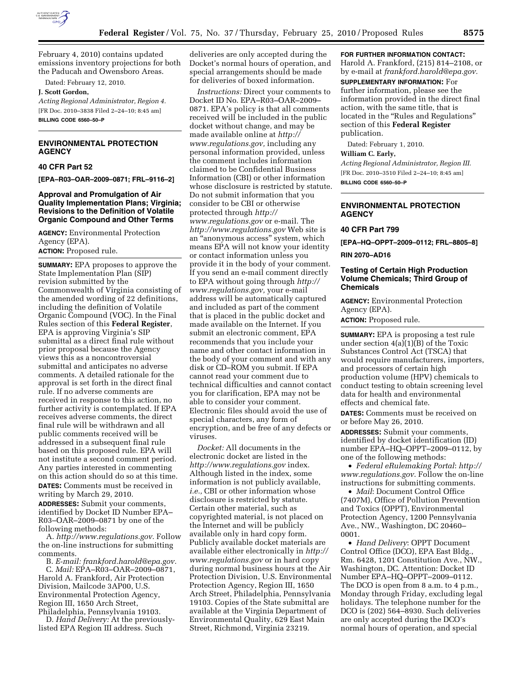

February 4, 2010) contains updated emissions inventory projections for both the Paducah and Owensboro Areas.

Dated: February 12, 2010.

**J. Scott Gordon,** 

*Acting Regional Administrator, Region 4.*  [FR Doc. 2010–3838 Filed 2–24–10; 8:45 am] **BILLING CODE 6560–50–P** 

# **ENVIRONMENTAL PROTECTION AGENCY**

# **40 CFR Part 52**

**[EPA–R03–OAR–2009–0871; FRL–9116–2]** 

# **Approval and Promulgation of Air Quality Implementation Plans; Virginia; Revisions to the Definition of Volatile Organic Compound and Other Terms**

**AGENCY:** Environmental Protection Agency (EPA).

**ACTION:** Proposed rule.

**SUMMARY:** EPA proposes to approve the State Implementation Plan (SIP) revision submitted by the Commonwealth of Virginia consisting of the amended wording of 22 definitions, including the definition of Volatile Organic Compound (VOC). In the Final Rules section of this **Federal Register**, EPA is approving Virginia's SIP submittal as a direct final rule without prior proposal because the Agency views this as a noncontroversial submittal and anticipates no adverse comments. A detailed rationale for the approval is set forth in the direct final rule. If no adverse comments are received in response to this action, no further activity is contemplated. If EPA receives adverse comments, the direct final rule will be withdrawn and all public comments received will be addressed in a subsequent final rule based on this proposed rule. EPA will not institute a second comment period. Any parties interested in commenting on this action should do so at this time. **DATES:** Comments must be received in

writing by March 29, 2010.

**ADDRESSES:** Submit your comments, identified by Docket ID Number EPA– R03–OAR–2009–0871 by one of the following methods:

A. *http://www.regulations.gov.* Follow the on-line instructions for submitting comments.

B. *E-mail: frankford.harold@epa.gov.* 

C. *Mail:* EPA–R03–OAR–2009–0871, Harold A. Frankford, Air Protection Division, Mailcode 3AP00, U.S. Environmental Protection Agency, Region III, 1650 Arch Street, Philadelphia, Pennsylvania 19103.

D. *Hand Delivery:* At the previouslylisted EPA Region III address. Such

deliveries are only accepted during the Docket's normal hours of operation, and special arrangements should be made for deliveries of boxed information.

*Instructions:* Direct your comments to Docket ID No. EPA–R03–OAR–2009– 0871. EPA's policy is that all comments received will be included in the public docket without change, and may be made available online at *http:// www.regulations.gov,* including any personal information provided, unless the comment includes information claimed to be Confidential Business Information (CBI) or other information whose disclosure is restricted by statute. Do not submit information that you consider to be CBI or otherwise protected through *http:// www.regulations.gov* or e-mail. The *http://www.regulations.gov* Web site is an ''anonymous access'' system, which means EPA will not know your identity or contact information unless you provide it in the body of your comment. If you send an e-mail comment directly to EPA without going through *http:// www.regulations.gov,* your e-mail address will be automatically captured and included as part of the comment that is placed in the public docket and made available on the Internet. If you submit an electronic comment, EPA recommends that you include your name and other contact information in the body of your comment and with any disk or CD–ROM you submit. If EPA cannot read your comment due to technical difficulties and cannot contact you for clarification, EPA may not be able to consider your comment. Electronic files should avoid the use of special characters, any form of encryption, and be free of any defects or viruses.

*Docket:* All documents in the electronic docket are listed in the *http://www.regulations.gov* index. Although listed in the index, some information is not publicly available, *i.e.,* CBI or other information whose disclosure is restricted by statute. Certain other material, such as copyrighted material, is not placed on the Internet and will be publicly available only in hard copy form. Publicly available docket materials are available either electronically in *http:// www.regulations.gov* or in hard copy during normal business hours at the Air Protection Division, U.S. Environmental Protection Agency, Region III, 1650 Arch Street, Philadelphia, Pennsylvania 19103. Copies of the State submittal are available at the Virginia Department of Environmental Quality, 629 East Main Street, Richmond, Virginia 23219.

#### **FOR FURTHER INFORMATION CONTACT:**

Harold A. Frankford, (215) 814–2108, or by e-mail at *frankford.harold@epa.gov.* 

**SUPPLEMENTARY INFORMATION:** For further information, please see the information provided in the direct final action, with the same title, that is located in the ''Rules and Regulations'' section of this **Federal Register**  publication.

Dated: February 1, 2010.

# **William C. Early,**

*Acting Regional Administrator, Region III.*  [FR Doc. 2010–3510 Filed 2–24–10; 8:45 am] **BILLING CODE 6560–50–P** 

## **ENVIRONMENTAL PROTECTION AGENCY**

# **40 CFR Part 799**

**[EPA–HQ–OPPT–2009–0112; FRL–8805–8] RIN 2070–AD16** 

# **Testing of Certain High Production Volume Chemicals; Third Group of Chemicals**

**AGENCY:** Environmental Protection Agency (EPA).

**ACTION:** Proposed rule.

**SUMMARY:** EPA is proposing a test rule under section 4(a)(1)(B) of the Toxic Substances Control Act (TSCA) that would require manufacturers, importers, and processors of certain high production volume (HPV) chemicals to conduct testing to obtain screening level data for health and environmental effects and chemical fate.

**DATES:** Comments must be received on or before May 26, 2010.

**ADDRESSES:** Submit your comments, identified by docket identification (ID) number EPA–HQ–OPPT–2009–0112, by one of the following methods:

• *Federal eRulemaking Portal*: *http:// www.regulations.gov*. Follow the on-line instructions for submitting comments.

• *Mail*: Document Control Office (7407M), Office of Pollution Prevention and Toxics (OPPT), Environmental Protection Agency, 1200 Pennsylvania Ave., NW., Washington, DC 20460– 0001.

• *Hand Delivery*: OPPT Document Control Office (DCO), EPA East Bldg., Rm. 6428, 1201 Constitution Ave., NW., Washington, DC. Attention: Docket ID Number EPA–HQ–OPPT–2009–0112. The DCO is open from 8 a.m. to 4 p.m., Monday through Friday, excluding legal holidays. The telephone number for the DCO is (202) 564–8930. Such deliveries are only accepted during the DCO's normal hours of operation, and special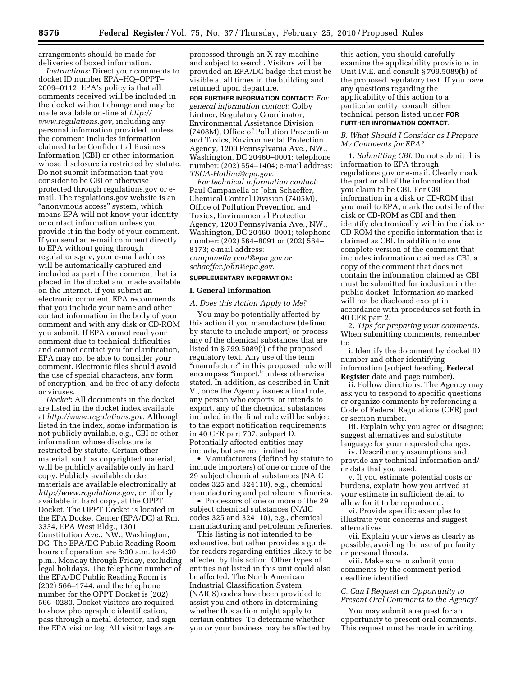arrangements should be made for deliveries of boxed information.

*Instructions*: Direct your comments to docket ID number EPA–HQ–OPPT– 2009–0112. EPA's policy is that all comments received will be included in the docket without change and may be made available on-line at *http:// www.regulations.gov*, including any personal information provided, unless the comment includes information claimed to be Confidential Business Information (CBI) or other information whose disclosure is restricted by statute. Do not submit information that you consider to be CBI or otherwise protected through regulations.gov or email. The regulations.gov website is an "anonymous access" system, which means EPA will not know your identity or contact information unless you provide it in the body of your comment. If you send an e-mail comment directly to EPA without going through regulations.gov, your e-mail address will be automatically captured and included as part of the comment that is placed in the docket and made available on the Internet. If you submit an electronic comment, EPA recommends that you include your name and other contact information in the body of your comment and with any disk or CD-ROM you submit. If EPA cannot read your comment due to technical difficulties and cannot contact you for clarification, EPA may not be able to consider your comment. Electronic files should avoid the use of special characters, any form of encryption, and be free of any defects or viruses.

*Docket*: All documents in the docket are listed in the docket index available at *http://www.regulations.gov*. Although listed in the index, some information is not publicly available, e.g., CBI or other information whose disclosure is restricted by statute. Certain other material, such as copyrighted material, will be publicly available only in hard copy. Publicly available docket materials are available electronically at *http://www.regulations.gov*, or, if only available in hard copy, at the OPPT Docket. The OPPT Docket is located in the EPA Docket Center (EPA/DC) at Rm. 3334, EPA West Bldg., 1301 Constitution Ave., NW., Washington, DC. The EPA/DC Public Reading Room hours of operation are 8:30 a.m. to 4:30 p.m., Monday through Friday, excluding legal holidays. The telephone number of the EPA/DC Public Reading Room is (202) 566–1744, and the telephone number for the OPPT Docket is (202) 566–0280. Docket visitors are required to show photographic identification, pass through a metal detector, and sign the EPA visitor log. All visitor bags are

processed through an X-ray machine and subject to search. Visitors will be provided an EPA/DC badge that must be visible at all times in the building and returned upon departure.

**FOR FURTHER INFORMATION CONTACT:** *For general information contact*: Colby Lintner, Regulatory Coordinator, Environmental Assistance Division (7408M), Office of Pollution Prevention and Toxics, Environmental Protection Agency, 1200 Pennsylvania Ave., NW., Washington, DC 20460–0001; telephone number: (202) 554–1404; e-mail address: *TSCA-Hotline@epa.gov*.

*For technical information contact*: Paul Campanella or John Schaeffer, Chemical Control Division (7405M), Office of Pollution Prevention and Toxics, Environmental Protection Agency, 1200 Pennsylvania Ave., NW., Washington, DC 20460–0001; telephone number: (202) 564–8091 or (202) 564– 8173; e-mail address: *campanella.paul@epa.gov or schaeffer.john@epa.gov*.

# **SUPPLEMENTARY INFORMATION:**

#### **I. General Information**

#### *A. Does this Action Apply to Me?*

You may be potentially affected by this action if you manufacture (defined by statute to include import) or process any of the chemical substances that are listed in § 799.5089(j) of the proposed regulatory text. Any use of the term "manufacture" in this proposed rule will encompass ''import,'' unless otherwise stated. In addition, as described in Unit V., once the Agency issues a final rule, any person who exports, or intends to export, any of the chemical substances included in the final rule will be subject to the export notification requirements in 40 CFR part 707, subpart D. Potentially affected entities may include, but are not limited to:

• Manufacturers (defined by statute to include importers) of one or more of the 29 subject chemical substances (NAIC codes 325 and 324110), e.g., chemical manufacturing and petroleum refineries.

• Processors of one or more of the 29 subject chemical substances (NAIC codes 325 and 324110), e.g., chemical manufacturing and petroleum refineries.

This listing is not intended to be exhaustive, but rather provides a guide for readers regarding entities likely to be affected by this action. Other types of entities not listed in this unit could also be affected. The North American Industrial Classification System (NAICS) codes have been provided to assist you and others in determining whether this action might apply to certain entities. To determine whether you or your business may be affected by

this action, you should carefully examine the applicability provisions in Unit IV.E. and consult § 799.5089(b) of the proposed regulatory text. If you have any questions regarding the applicability of this action to a particular entity, consult either technical person listed under **FOR FURTHER INFORMATION CONTACT**.

### *B. What Should I Consider as I Prepare My Comments for EPA?*

1. *Submitting CBI*. Do not submit this information to EPA through regulations.gov or e-mail. Clearly mark the part or all of the information that you claim to be CBI. For CBI information in a disk or CD-ROM that you mail to EPA, mark the outside of the disk or CD-ROM as CBI and then identify electronically within the disk or CD-ROM the specific information that is claimed as CBI. In addition to one complete version of the comment that includes information claimed as CBI, a copy of the comment that does not contain the information claimed as CBI must be submitted for inclusion in the public docket. Information so marked will not be disclosed except in accordance with procedures set forth in 40 CFR part 2.

2. *Tips for preparing your comments*. When submitting comments, remember to:

i. Identify the document by docket ID number and other identifying information (subject heading, **Federal Register** date and page number).

ii. Follow directions. The Agency may ask you to respond to specific questions or organize comments by referencing a Code of Federal Regulations (CFR) part or section number.

iii. Explain why you agree or disagree; suggest alternatives and substitute language for your requested changes.

iv. Describe any assumptions and provide any technical information and/ or data that you used.

v. If you estimate potential costs or burdens, explain how you arrived at your estimate in sufficient detail to allow for it to be reproduced.

vi. Provide specific examples to illustrate your concerns and suggest alternatives.

vii. Explain your views as clearly as possible, avoiding the use of profanity or personal threats.

viii. Make sure to submit your comments by the comment period deadline identified.

## *C. Can I Request an Opportunity to Present Oral Comments to the Agency?*

You may submit a request for an opportunity to present oral comments. This request must be made in writing.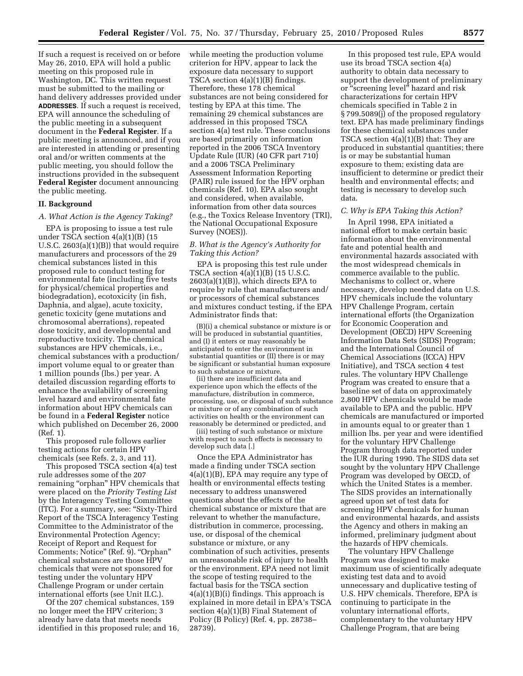If such a request is received on or before May 26, 2010, EPA will hold a public meeting on this proposed rule in Washington, DC. This written request must be submitted to the mailing or hand delivery addresses provided under **ADDRESSES**. If such a request is received, EPA will announce the scheduling of the public meeting in a subsequent document in the **Federal Register**. If a public meeting is announced, and if you are interested in attending or presenting oral and/or written comments at the public meeting, you should follow the instructions provided in the subsequent **Federal Register** document announcing the public meeting.

#### **II. Background**

#### *A. What Action is the Agency Taking?*

EPA is proposing to issue a test rule under TSCA section  $4(a)(1)(B)$  (15 U.S.C. 2603(a)(1)(B)) that would require manufacturers and processors of the 29 chemical substances listed in this proposed rule to conduct testing for environmental fate (including five tests for physical/chemical properties and biodegradation), ecotoxicity (in fish, Daphnia, and algae), acute toxicity, genetic toxicity (gene mutations and chromosomal aberrations), repeated dose toxicity, and developmental and reproductive toxicity. The chemical substances are HPV chemicals, i.e., chemical substances with a production/ import volume equal to or greater than 1 million pounds (lbs.) per year. A detailed discussion regarding efforts to enhance the availability of screening level hazard and environmental fate information about HPV chemicals can be found in a **Federal Register** notice which published on December 26, 2000 (Ref. 1).

This proposed rule follows earlier testing actions for certain HPV chemicals (see Refs. 2, 3, and 11).

This proposed TSCA section 4(a) test rule addresses some of the 207 remaining "orphan" HPV chemicals that were placed on the *Priority Testing List*  by the Interagency Testing Committee (ITC). For a summary, see: ''Sixty-Third Report of the TSCA Interagency Testing Committee to the Administrator of the Environmental Protection Agency; Receipt of Report and Request for Comments; Notice" (Ref. 9). "Orphan" chemical substances are those HPV chemicals that were not sponsored for testing under the voluntary HPV Challenge Program or under certain international efforts (see Unit II.C.).

Of the 207 chemical substances, 159 no longer meet the HPV criterion; 3 already have data that meets needs identified in this proposed rule; and 16, while meeting the production volume criterion for HPV, appear to lack the exposure data necessary to support TSCA section 4(a)(1)(B) findings. Therefore, these 178 chemical substances are not being considered for testing by EPA at this time. The remaining 29 chemical substances are addressed in this proposed TSCA section 4(a) test rule. These conclusions are based primarily on information reported in the 2006 TSCA Inventory Update Rule (IUR) (40 CFR part 710) and a 2006 TSCA Preliminary Assessment Information Reporting (PAIR) rule issued for the HPV orphan chemicals (Ref. 10). EPA also sought and considered, when available, information from other data sources (e.g., the Toxics Release Inventory (TRI), the National Occupational Exposure Survey (NOES)).

### *B. What is the Agency's Authority for Taking this Action?*

EPA is proposing this test rule under TSCA section 4(a)(1)(B) (15 U.S.C.  $2603(a)(1)(B)$ , which directs EPA to require by rule that manufacturers and/ or processors of chemical substances and mixtures conduct testing, if the EPA Administrator finds that:

(B)(i) a chemical substance or mixture is or will be produced in substantial quantities, and (I) it enters or may reasonably be anticipated to enter the environment in substantial quantities or (II) there is or may be significant or substantial human exposure to such substance or mixture,

(ii) there are insufficient data and experience upon which the effects of the manufacture, distribution in commerce, processing, use, or disposal of such substance or mixture or of any combination of such activities on health or the environment can reasonably be determined or predicted, and

(iii) testing of such substance or mixture with respect to such effects is necessary to develop such data [.]

Once the EPA Administrator has made a finding under TSCA section 4(a)(1)(B), EPA may require any type of health or environmental effects testing necessary to address unanswered questions about the effects of the chemical substance or mixture that are relevant to whether the manufacture, distribution in commerce, processing, use, or disposal of the chemical substance or mixture, or any combination of such activities, presents an unreasonable risk of injury to health or the environment. EPA need not limit the scope of testing required to the factual basis for the TSCA section 4(a)(1)(B)(i) findings. This approach is explained in more detail in EPA's TSCA section 4(a)(1)(B) Final Statement of Policy (B Policy) (Ref. 4, pp. 28738– 28739).

In this proposed test rule, EPA would use its broad TSCA section 4(a) authority to obtain data necessary to support the development of preliminary or ''screening level'' hazard and risk characterizations for certain HPV chemicals specified in Table 2 in § 799.5089(j) of the proposed regulatory text. EPA has made preliminary findings for these chemical substances under TSCA section 4(a)(1)(B) that: They are produced in substantial quantities; there is or may be substantial human exposure to them; existing data are insufficient to determine or predict their health and environmental effects; and testing is necessary to develop such data.

#### *C. Why is EPA Taking this Action?*

In April 1998, EPA initiated a national effort to make certain basic information about the environmental fate and potential health and environmental hazards associated with the most widespread chemicals in commerce available to the public. Mechanisms to collect or, where necessary, develop needed data on U.S. HPV chemicals include the voluntary HPV Challenge Program, certain international efforts (the Organization for Economic Cooperation and Development (OECD) HPV Screening Information Data Sets (SIDS) Program; and the International Council of Chemical Associations (ICCA) HPV Initiative), and TSCA section 4 test rules. The voluntary HPV Challenge Program was created to ensure that a baseline set of data on approximately 2,800 HPV chemicals would be made available to EPA and the public. HPV chemicals are manufactured or imported in amounts equal to or greater than 1 million lbs. per year and were identified for the voluntary HPV Challenge Program through data reported under the IUR during 1990. The SIDS data set sought by the voluntary HPV Challenge Program was developed by OECD, of which the United States is a member. The SIDS provides an internationally agreed upon set of test data for screening HPV chemicals for human and environmental hazards, and assists the Agency and others in making an informed, preliminary judgment about the hazards of HPV chemicals.

The voluntary HPV Challenge Program was designed to make maximum use of scientifically adequate existing test data and to avoid unnecessary and duplicative testing of U.S. HPV chemicals. Therefore, EPA is continuing to participate in the voluntary international efforts, complementary to the voluntary HPV Challenge Program, that are being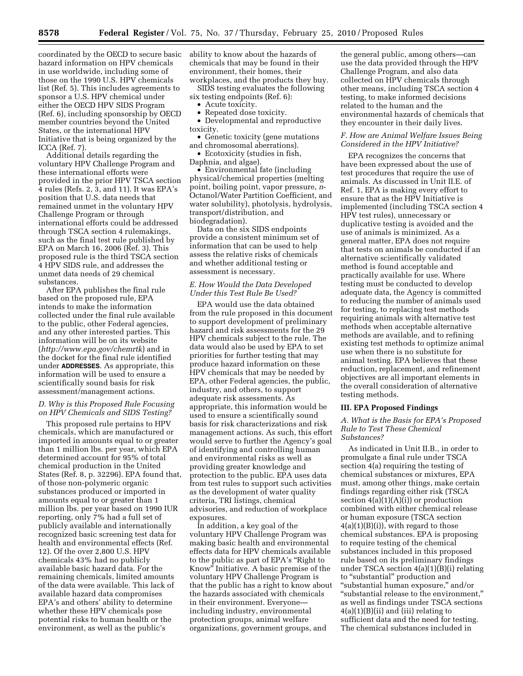coordinated by the OECD to secure basic hazard information on HPV chemicals in use worldwide, including some of those on the 1990 U.S. HPV chemicals list (Ref. 5). This includes agreements to sponsor a U.S. HPV chemical under either the OECD HPV SIDS Program (Ref. 6), including sponsorship by OECD member countries beyond the United States, or the international HPV Initiative that is being organized by the ICCA (Ref. 7).

Additional details regarding the voluntary HPV Challenge Program and these international efforts were provided in the prior HPV TSCA section 4 rules (Refs. 2, 3, and 11). It was EPA's position that U.S. data needs that remained unmet in the voluntary HPV Challenge Program or through international efforts could be addressed through TSCA section 4 rulemakings, such as the final test rule published by EPA on March 16, 2006 (Ref. 3). This proposed rule is the third TSCA section 4 HPV SIDS rule, and addresses the unmet data needs of 29 chemical substances.

After EPA publishes the final rule based on the proposed rule, EPA intends to make the information collected under the final rule available to the public, other Federal agencies, and any other interested parties. This information will be on its website (*http://www.epa.gov/chemrtk*) and in the docket for the final rule identified under **ADDRESSES**. As appropriate, this information will be used to ensure a scientifically sound basis for risk assessment/management actions.

### *D. Why is this Proposed Rule Focusing on HPV Chemicals and SIDS Testing?*

This proposed rule pertains to HPV chemicals, which are manufactured or imported in amounts equal to or greater than 1 million lbs. per year, which EPA determined account for 95% of total chemical production in the United States (Ref. 8, p. 32296). EPA found that, of those non-polymeric organic substances produced or imported in amounts equal to or greater than 1 million lbs. per year based on 1990 IUR reporting, only 7% had a full set of publicly available and internationally recognized basic screening test data for health and environmental effects (Ref. 12). Of the over 2,800 U.S. HPV chemicals 43% had no publicly available basic hazard data. For the remaining chemicals, limited amounts of the data were available. This lack of available hazard data compromises EPA's and others' ability to determine whether these HPV chemicals pose potential risks to human health or the environment, as well as the public's

ability to know about the hazards of chemicals that may be found in their environment, their homes, their workplaces, and the products they buy.

SIDS testing evaluates the following six testing endpoints (Ref. 6):

• Acute toxicity.

• Repeated dose toxicity.

• Developmental and reproductive toxicity.

• Genetic toxicity (gene mutations and chromosomal aberrations).

• Ecotoxicity (studies in fish, Daphnia, and algae).

• Environmental fate (including physical/chemical properties (melting point, boiling point, vapor pressure, *n*-Octanol/Water Partition Coefficient, and water solubility), photolysis, hydrolysis, transport/distribution, and biodegradation).

Data on the six SIDS endpoints provide a consistent minimum set of information that can be used to help assess the relative risks of chemicals and whether additional testing or assessment is necessary.

#### *E. How Would the Data Developed Under this Test Rule Be Used?*

EPA would use the data obtained from the rule proposed in this document to support development of preliminary hazard and risk assessments for the 29 HPV chemicals subject to the rule. The data would also be used by EPA to set priorities for further testing that may produce hazard information on these HPV chemicals that may be needed by EPA, other Federal agencies, the public, industry, and others, to support adequate risk assessments. As appropriate, this information would be used to ensure a scientifically sound basis for risk characterizations and risk management actions. As such, this effort would serve to further the Agency's goal of identifying and controlling human and environmental risks as well as providing greater knowledge and protection to the public. EPA uses data from test rules to support such activities as the development of water quality criteria, TRI listings, chemical advisories, and reduction of workplace exposures.

In addition, a key goal of the voluntary HPV Challenge Program was making basic health and environmental effects data for HPV chemicals available to the public as part of EPA's ''Right to Know'' Initiative. A basic premise of the voluntary HPV Challenge Program is that the public has a right to know about the hazards associated with chemicals in their environment. Everyoneincluding industry, environmental protection groups, animal welfare organizations, government groups, and

the general public, among others—can use the data provided through the HPV Challenge Program, and also data collected on HPV chemicals through other means, including TSCA section 4 testing, to make informed decisions related to the human and the environmental hazards of chemicals that they encounter in their daily lives.

# *F. How are Animal Welfare Issues Being Considered in the HPV Initiative?*

EPA recognizes the concerns that have been expressed about the use of test procedures that require the use of animals. As discussed in Unit II.E. of Ref. 1, EPA is making every effort to ensure that as the HPV Initiative is implemented (including TSCA section 4 HPV test rules), unnecessary or duplicative testing is avoided and the use of animals is minimized. As a general matter, EPA does not require that tests on animals be conducted if an alternative scientifically validated method is found acceptable and practically available for use. Where testing must be conducted to develop adequate data, the Agency is committed to reducing the number of animals used for testing, to replacing test methods requiring animals with alternative test methods when acceptable alternative methods are available, and to refining existing test methods to optimize animal use when there is no substitute for animal testing. EPA believes that these reduction, replacement, and refinement objectives are all important elements in the overall consideration of alternative testing methods.

### **III. EPA Proposed Findings**

*A. What is the Basis for EPA's Proposed Rule to Test These Chemical Substances?* 

As indicated in Unit II.B., in order to promulgate a final rule under TSCA section 4(a) requiring the testing of chemical substances or mixtures, EPA must, among other things, make certain findings regarding either risk (TSCA section  $4(a)(1)(A)(i)$  or production combined with either chemical release or human exposure (TSCA section  $4(a)(1)(B)(i)$ , with regard to those chemical substances. EPA is proposing to require testing of the chemical substances included in this proposed rule based on its preliminary findings under TSCA section 4(a)(1)(B)(i) relating to "substantial" production and ''substantial human exposure,'' and/or ''substantial release to the environment,'' as well as findings under TSCA sections 4(a)(1)(B)(ii) and (iii) relating to sufficient data and the need for testing. The chemical substances included in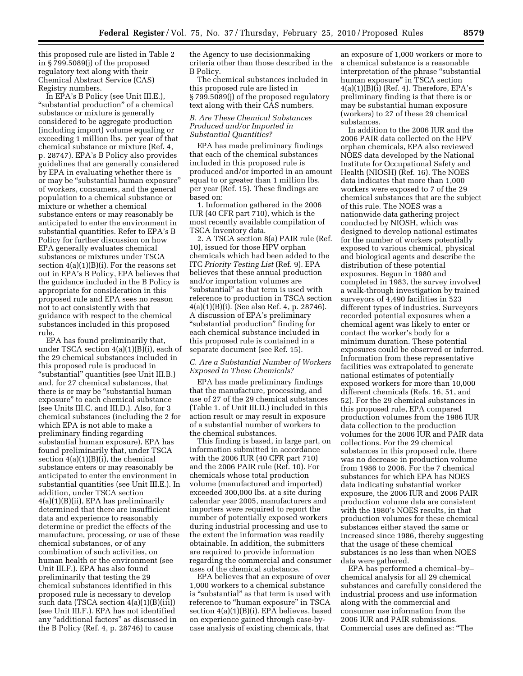this proposed rule are listed in Table 2 in § 799.5089(j) of the proposed regulatory text along with their Chemical Abstract Service (CAS) Registry numbers.

In EPA's B Policy (see Unit III.E.), ''substantial production'' of a chemical substance or mixture is generally considered to be aggregate production (including import) volume equaling or exceeding 1 million lbs. per year of that chemical substance or mixture (Ref. 4, p. 28747). EPA's B Policy also provides guidelines that are generally considered by EPA in evaluating whether there is or may be ''substantial human exposure'' of workers, consumers, and the general population to a chemical substance or mixture or whether a chemical substance enters or may reasonably be anticipated to enter the environment in substantial quantities. Refer to EPA's B Policy for further discussion on how EPA generally evaluates chemical substances or mixtures under TSCA section  $4(a)(1)(B)(i)$ . For the reasons set out in EPA's B Policy, EPA believes that the guidance included in the B Policy is appropriate for consideration in this proposed rule and EPA sees no reason not to act consistently with that guidance with respect to the chemical substances included in this proposed rule.

EPA has found preliminarily that, under TSCA section  $4(a)(1)(B)(i)$ , each of the 29 chemical substances included in this proposed rule is produced in ''substantial'' quantities (see Unit III.B.) and, for 27 chemical substances, that there is or may be ''substantial human exposure'' to each chemical substance (see Units III.C. and III.D.). Also, for 3 chemical substances (including the 2 for which EPA is not able to make a preliminary finding regarding substantial human exposure), EPA has found preliminarily that, under TSCA section  $4(a)(1)(B)(i)$ , the chemical substance enters or may reasonably be anticipated to enter the environment in substantial quantities (see Unit III.E.). In addition, under TSCA section 4(a)(1)(B)(ii), EPA has preliminarily determined that there are insufficient data and experience to reasonably determine or predict the effects of the manufacture, processing, or use of these chemical substances, or of any combination of such activities, on human health or the environment (see Unit III.F.). EPA has also found preliminarily that testing the 29 chemical substances identified in this proposed rule is necessary to develop such data (TSCA section 4(a)(1)(B)(iii)) (see Unit III.F.). EPA has not identified any ''additional factors'' as discussed in the B Policy (Ref. 4, p. 28746) to cause

the Agency to use decisionmaking criteria other than those described in the B Policy.

The chemical substances included in this proposed rule are listed in § 799.5089(j) of the proposed regulatory text along with their CAS numbers.

### *B. Are These Chemical Substances Produced and/or Imported in Substantial Quantities?*

EPA has made preliminary findings that each of the chemical substances included in this proposed rule is produced and/or imported in an amount equal to or greater than 1 million lbs. per year (Ref. 15). These findings are based on:

1. Information gathered in the 2006 IUR (40 CFR part 710), which is the most recently available compilation of TSCA Inventory data.

2. A TSCA section 8(a) PAIR rule (Ref. 10), issued for those HPV orphan chemicals which had been added to the ITC *Priority Testing List* (Ref. 9). EPA believes that these annual production and/or importation volumes are ''substantial'' as that term is used with reference to production in TSCA section 4(a)(1)(B)(i). (See also Ref. 4, p. 28746). A discussion of EPA's preliminary "substantial production" finding for each chemical substance included in this proposed rule is contained in a separate document (see Ref. 15).

### *C. Are a Substantial Number of Workers Exposed to These Chemicals?*

EPA has made preliminary findings that the manufacture, processing, and use of 27 of the 29 chemical substances (Table 1. of Unit III.D.) included in this action result or may result in exposure of a substantial number of workers to the chemical substances.

This finding is based, in large part, on information submitted in accordance with the 2006 IUR (40 CFR part 710) and the 2006 PAIR rule (Ref. 10). For chemicals whose total production volume (manufactured and imported) exceeded 300,000 lbs. at a site during calendar year 2005, manufacturers and importers were required to report the number of potentially exposed workers during industrial processing and use to the extent the information was readily obtainable. In addition, the submitters are required to provide information regarding the commercial and consumer uses of the chemical substance.

EPA believes that an exposure of over 1,000 workers to a chemical substance is ''substantial'' as that term is used with reference to "human exposure" in TSCA section 4(a)(1)(B)(i). EPA believes, based on experience gained through case-bycase analysis of existing chemicals, that

an exposure of 1,000 workers or more to a chemical substance is a reasonable interpretation of the phrase ''substantial human exposure'' in TSCA section  $4(a)(1)(B)(i)$  (Ref. 4). Therefore, EPA's preliminary finding is that there is or may be substantial human exposure (workers) to 27 of these 29 chemical substances.

In addition to the 2006 IUR and the 2006 PAIR data collected on the HPV orphan chemicals, EPA also reviewed NOES data developed by the National Institute for Occupational Safety and Health (NIOSH) (Ref. 16). The NOES data indicates that more than 1,000 workers were exposed to 7 of the 29 chemical substances that are the subject of this rule. The NOES was a nationwide data gathering project conducted by NIOSH, which was designed to develop national estimates for the number of workers potentially exposed to various chemical, physical and biological agents and describe the distribution of these potential exposures. Begun in 1980 and completed in 1983, the survey involved a walk-through investigation by trained surveyors of 4,490 facilities in 523 different types of industries. Surveyors recorded potential exposures when a chemical agent was likely to enter or contact the worker's body for a minimum duration. These potential exposures could be observed or inferred. Information from these representative facilities was extrapolated to generate national estimates of potentially exposed workers for more than 10,000 different chemicals (Refs. 16, 51, and 52). For the 29 chemical substances in this proposed rule, EPA compared production volumes from the 1986 IUR data collection to the production volumes for the 2006 IUR and PAIR data collections. For the 29 chemical substances in this proposed rule, there was no decrease in production volume from 1986 to 2006. For the 7 chemical substances for which EPA has NOES data indicating substantial worker exposure, the 2006 IUR and 2006 PAIR production volume data are consistent with the 1980's NOES results, in that production volumes for these chemical substances either stayed the same or increased since 1986, thereby suggesting that the usage of these chemical substances is no less than when NOES data were gathered.

EPA has performed a chemical–by– chemical analysis for all 29 chemical substances and carefully considered the industrial process and use information along with the commercial and consumer use information from the 2006 IUR and PAIR submissions. Commercial uses are defined as: ''The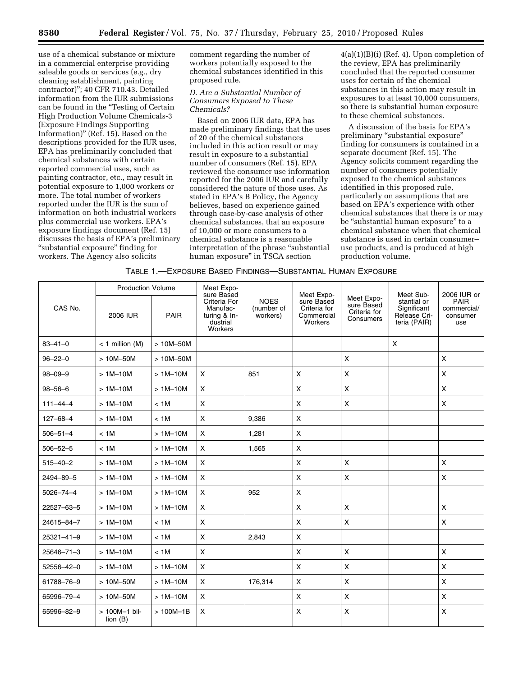use of a chemical substance or mixture in a commercial enterprise providing saleable goods or services (e.g., dry cleaning establishment, painting contractor)''; 40 CFR 710.43. Detailed information from the IUR submissions can be found in the ''Testing of Certain High Production Volume Chemicals-3 (Exposure Findings Supporting Information)'' (Ref. 15). Based on the descriptions provided for the IUR uses, EPA has preliminarily concluded that chemical substances with certain reported commercial uses, such as painting contractor, etc., may result in potential exposure to 1,000 workers or more. The total number of workers reported under the IUR is the sum of information on both industrial workers plus commercial use workers. EPA's exposure findings document (Ref. 15) discusses the basis of EPA's preliminary ''substantial exposure'' finding for workers. The Agency also solicits

comment regarding the number of workers potentially exposed to the chemical substances identified in this proposed rule.

## *D. Are a Substantial Number of Consumers Exposed to These Chemicals?*

Based on 2006 IUR data, EPA has made preliminary findings that the uses of 20 of the chemical substances included in this action result or may result in exposure to a substantial number of consumers (Ref. 15). EPA reviewed the consumer use information reported for the 2006 IUR and carefully considered the nature of those uses. As stated in EPA's B Policy, the Agency believes, based on experience gained through case-by-case analysis of other chemical substances, that an exposure of 10,000 or more consumers to a chemical substance is a reasonable interpretation of the phrase ''substantial human exposure'' in TSCA section

4(a)(1)(B)(i) (Ref. 4). Upon completion of the review, EPA has preliminarily concluded that the reported consumer uses for certain of the chemical substances in this action may result in exposures to at least 10,000 consumers, so there is substantial human exposure to these chemical substances.

A discussion of the basis for EPA's preliminary "substantial exposure" finding for consumers is contained in a separate document (Ref. 15). The Agency solicits comment regarding the number of consumers potentially exposed to the chemical substances identified in this proposed rule, particularly on assumptions that are based on EPA's experience with other chemical substances that there is or may be "substantial human exposure" to a chemical substance when that chemical substance is used in certain consumer– use products, and is produced at high production volume.

| TABLE 1.-EXPOSURE BASED FINDINGS-SUBSTANTIAL HUMAN EXPOSURE |  |
|-------------------------------------------------------------|--|
|-------------------------------------------------------------|--|

|                                                                                                                                                       |                          | <b>Production Volume</b>                            |                                                       | Meet Expo-                                                 | Meet Expo-                                    |                | Meet Sub-      | 2006 IUR or |
|-------------------------------------------------------------------------------------------------------------------------------------------------------|--------------------------|-----------------------------------------------------|-------------------------------------------------------|------------------------------------------------------------|-----------------------------------------------|----------------|----------------|-------------|
| sure Based<br>Criteria For<br><b>NOES</b><br>CAS No.<br>Manufac-<br>(number of<br>2006 IUR<br>PAIR<br>turing & In-<br>workers)<br>dustrial<br>Workers |                          | sure Based<br>Criteria for<br>Commercial<br>Workers | Meet Expo-<br>sure Based<br>Criteria for<br>Consumers | stantial or<br>Significant<br>Release Cri-<br>teria (PAIR) | <b>PAIR</b><br>commercial/<br>consumer<br>use |                |                |             |
| $83 - 41 - 0$                                                                                                                                         | $<$ 1 million (M)        | $>10M-50M$                                          |                                                       |                                                            |                                               |                | $\pmb{\times}$ |             |
| $96 - 22 - 0$                                                                                                                                         | $>10M-50M$               | $>10M-50M$                                          |                                                       |                                                            |                                               | X              |                | X           |
| $98 - 09 - 9$                                                                                                                                         | $>1M-10M$                | $>1M-10M$                                           | X                                                     | 851                                                        | X                                             | X              |                | X           |
| $98 - 56 - 6$                                                                                                                                         | $>1M-10M$                | $>1M-10M$                                           | X                                                     |                                                            | $\pmb{\times}$                                | X              |                | X           |
| $111 - 44 - 4$                                                                                                                                        | $>1M-10M$                | < 1M                                                | X                                                     |                                                            | X                                             | X              |                | X           |
| $127 - 68 - 4$                                                                                                                                        | $>1M-10M$                | < 1M                                                | X                                                     | 9.386                                                      | $\pmb{\times}$                                |                |                |             |
| $506 - 51 - 4$                                                                                                                                        | < 1M                     | $>1M-10M$                                           | X                                                     | 1.281                                                      | X                                             |                |                |             |
| $506 - 52 - 5$                                                                                                                                        | < 1M                     | $>1M-10M$                                           | X                                                     | 1,565                                                      | $\mathsf X$                                   |                |                |             |
| $515 - 40 - 2$                                                                                                                                        | $>1M-10M$                | $>1M-10M$                                           | X                                                     |                                                            | X                                             | $\pmb{\times}$ |                | X           |
| 2494-89-5                                                                                                                                             | $>1M-10M$                | $>1M-10M$                                           | X                                                     |                                                            | X                                             | X              |                | X           |
| $5026 - 74 - 4$                                                                                                                                       | $>1M-10M$                | $>1M-10M$                                           | X                                                     | 952                                                        | $\pmb{\times}$                                |                |                |             |
| 22527-63-5                                                                                                                                            | $>1M-10M$                | $>1M-10M$                                           | X                                                     |                                                            | X                                             | X              |                | X           |
| 24615-84-7                                                                                                                                            | $>1M-10M$                | < 1M                                                | $\pmb{\times}$                                        |                                                            | X                                             | X              |                | X           |
| $25321 - 41 - 9$                                                                                                                                      | $>1M-10M$                | < 1M                                                | $\pmb{\times}$                                        | 2,843                                                      | $\pmb{\times}$                                |                |                |             |
| 25646-71-3                                                                                                                                            | $>1M-10M$                | < 1M                                                | X                                                     |                                                            | X                                             | X              |                | X           |
| 52556-42-0                                                                                                                                            | $>1M-10M$                | $>1M-10M$                                           | X                                                     |                                                            | X                                             | X              |                | X           |
| 61788-76-9                                                                                                                                            | $>10M-50M$               | $>1M-10M$                                           | X                                                     | 176,314                                                    | X                                             | $\mathsf{x}$   |                | X           |
| 65996-79-4                                                                                                                                            | $>10M-50M$               | $>1M-10M$                                           | X                                                     |                                                            | $\pmb{\times}$                                | X              |                | X           |
| 65996-82-9                                                                                                                                            | > 100M-1 bil-<br>lion(B) | $>100M-1B$                                          | X                                                     |                                                            | X                                             | X              |                | X           |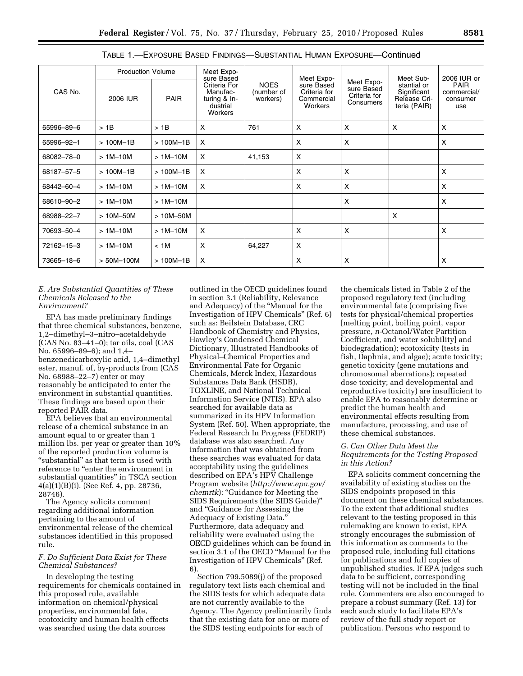|            | <b>Production Volume</b> |             | Meet Expo-<br>sure Based                                                                                 |        | Meet Expo-                                                 | Meet Expo-<br>sure Based<br>Criteria for<br>Consumers | Meet Sub-<br>stantial or<br>Significant<br>Release Cri-<br>teria (PAIR) | 2006 IUR or<br><b>PAIR</b><br>commercial/<br>consumer<br>use |
|------------|--------------------------|-------------|----------------------------------------------------------------------------------------------------------|--------|------------------------------------------------------------|-------------------------------------------------------|-------------------------------------------------------------------------|--------------------------------------------------------------|
| CAS No.    | 2006 IUR                 | <b>PAIR</b> | <b>NOES</b><br>Criteria For<br>Manufac-<br>(number of<br>turing & In-<br>workers)<br>dustrial<br>Workers |        | sure Based<br>Criteria for<br>Commercial<br><b>Workers</b> |                                                       |                                                                         |                                                              |
| 65996-89-6 | >1B                      | >1B         | X                                                                                                        | 761    | $\boldsymbol{\mathsf{x}}$                                  | X                                                     | X                                                                       | X                                                            |
| 65996-92-1 | $>100M-1B$               | $>100M-1B$  | X                                                                                                        |        | $\boldsymbol{\mathsf{x}}$                                  | X                                                     |                                                                         | X                                                            |
| 68082-78-0 | $>1M-10M$                | $>1M-10M$   | X                                                                                                        | 41,153 | $\times$                                                   |                                                       |                                                                         |                                                              |
| 68187-57-5 | $>100M-1B$               | $>100M-1B$  | X                                                                                                        |        | X                                                          | X                                                     |                                                                         | X                                                            |
| 68442-60-4 | $>1M-10M$                | $>1M-10M$   | X                                                                                                        |        | $\boldsymbol{\mathsf{x}}$                                  | X                                                     |                                                                         | X                                                            |
| 68610-90-2 | $>1M-10M$                | $>1M-10M$   |                                                                                                          |        |                                                            | X                                                     |                                                                         | X                                                            |
| 68988-22-7 | $>10M-50M$               | $>10M-50M$  |                                                                                                          |        |                                                            |                                                       | X                                                                       |                                                              |
| 70693-50-4 | $>1M-10M$                | $>1M-10M$   | $\boldsymbol{\mathsf{x}}$                                                                                |        | $\boldsymbol{\mathsf{x}}$                                  | X                                                     |                                                                         | X                                                            |
| 72162-15-3 | $>1M-10M$                | < 1M        | X                                                                                                        | 64,227 | $\times$                                                   |                                                       |                                                                         |                                                              |
| 73665-18-6 | $>$ 50M-100M             | $>100M-1B$  | X                                                                                                        |        | X                                                          | X                                                     |                                                                         | X                                                            |

TABLE 1.—EXPOSURE BASED FINDINGS—SUBSTANTIAL HUMAN EXPOSURE—Continued

### *E. Are Substantial Quantities of These Chemicals Released to the Environment?*

EPA has made preliminary findings that three chemical substances, benzene, 1,2–dimethyl–3–nitro–acetaldehyde (CAS No. 83–41–0); tar oils, coal (CAS No. 65996–89–6); and 1,4– benzenedicarboxylic acid, 1,4–dimethyl ester, manuf. of, by-products from (CAS No. 68988–22–7) enter or may reasonably be anticipated to enter the environment in substantial quantities. These findings are based upon their reported PAIR data.

EPA believes that an environmental release of a chemical substance in an amount equal to or greater than 1 million lbs. per year or greater than 10% of the reported production volume is "substantial" as that term is used with reference to ''enter the environment in substantial quantities'' in TSCA section 4(a)(1)(B)(i). (See Ref. 4, pp. 28736, 28746).

The Agency solicits comment regarding additional information pertaining to the amount of environmental release of the chemical substances identified in this proposed rule.

# *F. Do Sufficient Data Exist for These Chemical Substances?*

In developing the testing requirements for chemicals contained in this proposed rule, available information on chemical/physical properties, environmental fate, ecotoxicity and human health effects was searched using the data sources

outlined in the OECD guidelines found in section 3.1 (Reliability, Relevance and Adequacy) of the ''Manual for the Investigation of HPV Chemicals'' (Ref. 6) such as: Beilstein Database, CRC Handbook of Chemistry and Physics, Hawley's Condensed Chemical Dictionary, Illustrated Handbooks of Physical–Chemical Properties and Environmental Fate for Organic Chemicals, Merck Index, Hazardous Substances Data Bank (HSDB), TOXLINE, and National Technical Information Service (NTIS). EPA also searched for available data as summarized in its HPV Information System (Ref. 50). When appropriate, the Federal Research In Progress (FEDRIP) database was also searched. Any information that was obtained from these searches was evaluated for data acceptability using the guidelines described on EPA's HPV Challenge Program website (*http://www.epa.gov/*  chemrtk): "Guidance for Meeting the SIDS Requirements (the SIDS Guide)'' and ''Guidance for Assessing the Adequacy of Existing Data.'' Furthermore, data adequacy and reliability were evaluated using the OECD guidelines which can be found in section 3.1 of the OECD ''Manual for the Investigation of HPV Chemicals'' (Ref. 6).

Section 799.5089(j) of the proposed regulatory text lists each chemical and the SIDS tests for which adequate data are not currently available to the Agency. The Agency preliminarily finds that the existing data for one or more of the SIDS testing endpoints for each of

the chemicals listed in Table 2 of the proposed regulatory text (including environmental fate (comprising five tests for physical/chemical properties [melting point, boiling point, vapor pressure, *n*-Octanol/Water Partition Coefficient, and water solubility] and biodegradation); ecotoxicity (tests in fish, Daphnia, and algae); acute toxicity; genetic toxicity (gene mutations and chromosomal aberrations); repeated dose toxicity; and developmental and reproductive toxicity) are insufficient to enable EPA to reasonably determine or predict the human health and environmental effects resulting from manufacture, processing, and use of these chemical substances.

# *G. Can Other Data Meet the Requirements for the Testing Proposed in this Action?*

EPA solicits comment concerning the availability of existing studies on the SIDS endpoints proposed in this document on these chemical substances. To the extent that additional studies relevant to the testing proposed in this rulemaking are known to exist, EPA strongly encourages the submission of this information as comments to the proposed rule, including full citations for publications and full copies of unpublished studies. If EPA judges such data to be sufficient, corresponding testing will not be included in the final rule. Commenters are also encouraged to prepare a robust summary (Ref. 13) for each such study to facilitate EPA's review of the full study report or publication. Persons who respond to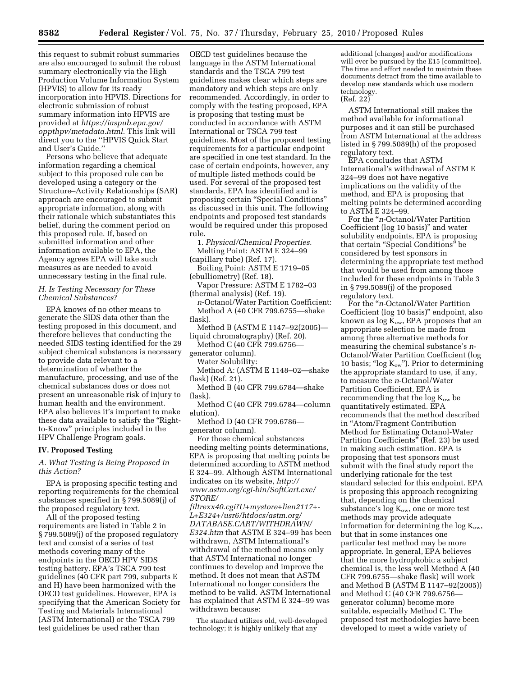this request to submit robust summaries are also encouraged to submit the robust summary electronically via the High Production Volume Information System (HPVIS) to allow for its ready incorporation into HPVIS. Directions for electronic submission of robust summary information into HPVIS are provided at *https://iaspub.epa.gov/ oppthpv/metadata.html.* This link will direct you to the ''HPVIS Quick Start and User's Guide.''

Persons who believe that adequate information regarding a chemical subject to this proposed rule can be developed using a category or the Structure–Activity Relationships (SAR) approach are encouraged to submit appropriate information, along with their rationale which substantiates this belief, during the comment period on this proposed rule. If, based on submitted information and other information available to EPA, the Agency agrees EPA will take such measures as are needed to avoid unnecessary testing in the final rule.

### *H. Is Testing Necessary for These Chemical Substances?*

EPA knows of no other means to generate the SIDS data other than the testing proposed in this document, and therefore believes that conducting the needed SIDS testing identified for the 29 subject chemical substances is necessary to provide data relevant to a determination of whether the manufacture, processing, and use of the chemical substances does or does not present an unreasonable risk of injury to human health and the environment. EPA also believes it's important to make these data available to satisfy the ''Rightto-Know'' principles included in the HPV Challenge Program goals.

#### **IV. Proposed Testing**

# *A. What Testing is Being Proposed in this Action?*

EPA is proposing specific testing and reporting requirements for the chemical substances specified in § 799.5089(j) of the proposed regulatory text.

All of the proposed testing requirements are listed in Table 2 in § 799.5089(j) of the proposed regulatory text and consist of a series of test methods covering many of the endpoints in the OECD HPV SIDS testing battery. EPA's TSCA 799 test guidelines (40 CFR part 799, subparts E and H) have been harmonized with the OECD test guidelines. However, EPA is specifying that the American Society for Testing and Materials International (ASTM International) or the TSCA 799 test guidelines be used rather than

OECD test guidelines because the language in the ASTM International standards and the TSCA 799 test guidelines makes clear which steps are mandatory and which steps are only recommended. Accordingly, in order to comply with the testing proposed, EPA is proposing that testing must be conducted in accordance with ASTM International or TSCA 799 test guidelines. Most of the proposed testing requirements for a particular endpoint are specified in one test standard. In the case of certain endpoints, however, any of multiple listed methods could be used. For several of the proposed test standards, EPA has identified and is proposing certain ''Special Conditions'' as discussed in this unit. The following endpoints and proposed test standards would be required under this proposed rule.

1. *Physical/Chemical Properties*. Melting Point: ASTM E 324–99 (capillary tube) (Ref. 17).

Boiling Point: ASTM E 1719–05 (ebulliometry) (Ref. 18).

Vapor Pressure: ASTM E 1782–03 (thermal analysis) (Ref. 19).

*n*-Octanol/Water Partition Coefficient: Method A (40 CFR 799.6755—shake flask).

Method B (ASTM E 1147–92(2005) liquid chromatography) (Ref. 20).

Method C (40 CFR 799.6756 generator column).

Water Solubility:

Method A: (ASTM E 1148–02—shake flask) (Ref. 21).

Method B (40 CFR 799.6784—shake flask).

Method C (40 CFR 799.6784—column elution).

Method D (40 CFR 799.6786 generator column).

For those chemical substances needing melting points determinations, EPA is proposing that melting points be determined according to ASTM method E 324–99. Although ASTM International indicates on its website, *http:// www.astm.org/cgi-bin/SoftCart.exe/ STORE/* 

*filtrexx40.cgi?U+mystore+lien2117+- L+E324+/usr6/htdocs/astm.org/ DATABASE.CART/WITHDRAWN/ E324.htm* that ASTM E 324–99 has been withdrawn, ASTM International's withdrawal of the method means only that ASTM International no longer continues to develop and improve the method. It does not mean that ASTM International no longer considers the method to be valid. ASTM International has explained that ASTM E 324–99 was withdrawn because:

The standard utilizes old, well-developed technology; it is highly unlikely that any

additional [changes] and/or modifications will ever be pursued by the E15 [committee]. The time and effort needed to maintain these documents detract from the time available to develop new standards which use modern technology. (Ref. 22)

ASTM International still makes the method available for informational purposes and it can still be purchased from ASTM International at the address listed in § 799.5089(h) of the proposed regulatory text.

EPA concludes that ASTM International's withdrawal of ASTM E 324–99 does not have negative implications on the validity of the method, and EPA is proposing that melting points be determined according to ASTM E 324–99.

For the ''*n*-Octanol/Water Partition Coefficient (log 10 basis)'' and water solubility endpoints, EPA is proposing that certain ''Special Conditions'' be considered by test sponsors in determining the appropriate test method that would be used from among those included for these endpoints in Table 3 in § 799.5089(j) of the proposed regulatory text.

For the ''*n*-Octanol/Water Partition Coefficient (log 10 basis)'' endpoint, also known as  $log K<sub>ow</sub>$ , EPA proposes that an appropriate selection be made from among three alternative methods for measuring the chemical substance's *n*-Octanol/Water Partition Coefficient (log 10 basis; " $log K_{ow}$ "). Prior to determining the appropriate standard to use, if any, to measure the *n*-Octanol/Water Partition Coefficient, EPA is recommending that the  $log K<sub>ow</sub>$  be quantitatively estimated. EPA recommends that the method described in ''Atom/Fragment Contribution Method for Estimating Octanol-Water Partition Coefficients" (Ref. 23) be used in making such estimation. EPA is proposing that test sponsors must submit with the final study report the underlying rationale for the test standard selected for this endpoint. EPA is proposing this approach recognizing that, depending on the chemical substance's  $log K_{ow}$ , one or more test methods may provide adequate information for determining the  $log K<sub>ow</sub>$ , but that in some instances one particular test method may be more appropriate. In general, EPA believes that the more hydrophobic a subject chemical is, the less well Method A (40 CFR 799.6755—shake flask) will work and Method B (ASTM E 1147–92(2005)) and Method C (40 CFR 799.6756 generator column) become more suitable, especially Method C. The proposed test methodologies have been developed to meet a wide variety of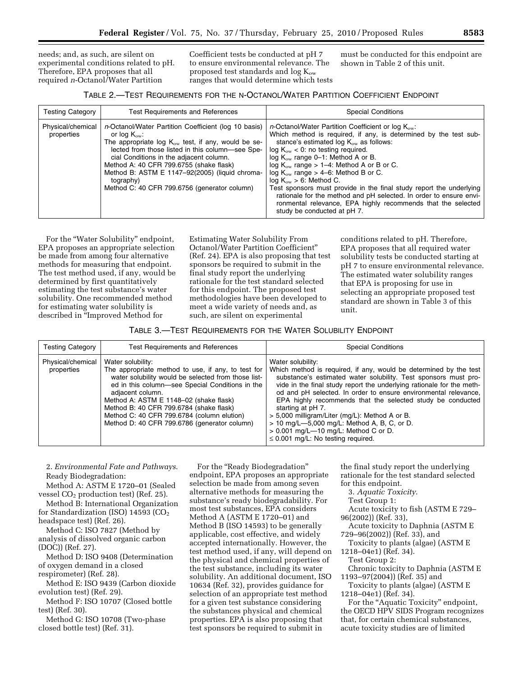needs; and, as such, are silent on experimental conditions related to pH. Therefore, EPA proposes that all required *n*-Octanol/Water Partition

Coefficient tests be conducted at pH 7 to ensure environmental relevance. The proposed test standards and  $log K<sub>ow</sub>$ ranges that would determine which tests must be conducted for this endpoint are shown in Table 2 of this unit.

| <b>Testing Category</b>         | <b>Test Requirements and References</b>                                                                                                                                                                                                                                                                                                                                                               | <b>Special Conditions</b>                                                                                                                                                                                                                                                                                                                                                                                                                                                                                                                                                                                                                              |
|---------------------------------|-------------------------------------------------------------------------------------------------------------------------------------------------------------------------------------------------------------------------------------------------------------------------------------------------------------------------------------------------------------------------------------------------------|--------------------------------------------------------------------------------------------------------------------------------------------------------------------------------------------------------------------------------------------------------------------------------------------------------------------------------------------------------------------------------------------------------------------------------------------------------------------------------------------------------------------------------------------------------------------------------------------------------------------------------------------------------|
| Physical/chemical<br>properties | <i>n</i> -Octanol/Water Partition Coefficient (log 10 basis)<br>or log $K_{ow}$ :<br>The appropriate log $K_{ow}$ test, if any, would be se-<br>lected from those listed in this column-see Spe-<br>cial Conditions in the adjacent column.<br>Method A: 40 CFR 799.6755 (shake flask)<br>Method B: ASTM E 1147-92(2005) (liquid chroma-<br>tography)<br>Method C: 40 CFR 799.6756 (generator column) | <i>n</i> -Octanol/Water Partition Coefficient or log $K_{ow}$ :<br>Which method is required, if any, is determined by the test sub-<br>stance's estimated log $K_{ow}$ as follows:<br>$log K_{ow}$ < 0: no testing required.<br>log K <sub>ow</sub> range 0-1: Method A or B.<br>$log K_{ow}$ range > 1–4: Method A or B or C.<br>$log K_{ow}$ range > 4–6: Method B or C.<br>$log K_{ow} > 6$ : Method C.<br>Test sponsors must provide in the final study report the underlying<br>rationale for the method and pH selected. In order to ensure envi-<br>ronmental relevance, EPA highly recommends that the selected<br>study be conducted at pH 7. |

For the "Water Solubility" endpoint, EPA proposes an appropriate selection be made from among four alternative methods for measuring that endpoint. The test method used, if any, would be determined by first quantitatively estimating the test substance's water solubility. One recommended method for estimating water solubility is described in ''Improved Method for

Estimating Water Solubility From Octanol/Water Partition Coefficient'' (Ref. 24). EPA is also proposing that test sponsors be required to submit in the final study report the underlying rationale for the test standard selected for this endpoint. The proposed test methodologies have been developed to meet a wide variety of needs and, as such, are silent on experimental

conditions related to pH. Therefore, EPA proposes that all required water solubility tests be conducted starting at pH 7 to ensure environmental relevance. The estimated water solubility ranges that EPA is proposing for use in selecting an appropriate proposed test standard are shown in Table 3 of this unit.

| TABLE 3.—TEST REQUIREMENTS FOR THE WATER SOLUBILITY ENDPOINT |  |  |
|--------------------------------------------------------------|--|--|
|--------------------------------------------------------------|--|--|

| <b>Testing Category</b>         | <b>Test Requirements and References</b>                                                                                                                                                                                                                                                                                                                                                  | <b>Special Conditions</b>                                                                                                                                                                                                                                                                                                                                                                                                                                                                                                                                                        |
|---------------------------------|------------------------------------------------------------------------------------------------------------------------------------------------------------------------------------------------------------------------------------------------------------------------------------------------------------------------------------------------------------------------------------------|----------------------------------------------------------------------------------------------------------------------------------------------------------------------------------------------------------------------------------------------------------------------------------------------------------------------------------------------------------------------------------------------------------------------------------------------------------------------------------------------------------------------------------------------------------------------------------|
| Physical/chemical<br>properties | Water solubility:<br>The appropriate method to use, if any, to test for<br>water solubility would be selected from those list-<br>ed in this column—see Special Conditions in the<br>adjacent column.<br>Method A: ASTM E 1148-02 (shake flask)<br>Method B: 40 CFR 799.6784 (shake flask)<br>Method C: 40 CFR 799.6784 (column elution)<br>Method D: 40 CFR 799.6786 (generator column) | Water solubility:<br>Which method is required, if any, would be determined by the test<br>substance's estimated water solubility. Test sponsors must pro-<br>vide in the final study report the underlying rationale for the meth-<br>od and pH selected. In order to ensure environmental relevance,<br>EPA highly recommends that the selected study be conducted<br>starting at pH 7.<br>> 5,000 milligram/Liter (mg/L): Method A or B.<br>$> 10$ mg/L—5,000 mg/L: Method A, B, C, or D.<br>$> 0.001$ mg/L-10 mg/L: Method C or D.<br>$\leq$ 0.001 mg/L: No testing required. |

2. *Environmental Fate and Pathways*. Ready Biodegradation:

Method A: ASTM E 1720–01 (Sealed vessel  $CO<sub>2</sub>$  production test) (Ref. 25). Method B: International Organization

for Standardization (ISO) 14593 ( $CO<sub>2</sub>$ headspace test) (Ref. 26).

Method C: ISO 7827 (Method by analysis of dissolved organic carbon (DOC)) (Ref. 27).

Method D: ISO 9408 (Determination of oxygen demand in a closed respirometer) (Ref. 28).

Method E: ISO 9439 (Carbon dioxide evolution test) (Ref. 29).

Method F: ISO 10707 (Closed bottle test) (Ref. 30).

Method G: ISO 10708 (Two-phase closed bottle test) (Ref. 31).

For the "Ready Biodegradation" endpoint, EPA proposes an appropriate selection be made from among seven alternative methods for measuring the substance's ready biodegradability. For most test substances, EPA considers Method A (ASTM E 1720–01) and Method B (ISO 14593) to be generally applicable, cost effective, and widely accepted internationally. However, the test method used, if any, will depend on the physical and chemical properties of the test substance, including its water solubility. An additional document, ISO 10634 (Ref. 32), provides guidance for selection of an appropriate test method for a given test substance considering the substances physical and chemical properties. EPA is also proposing that test sponsors be required to submit in

the final study report the underlying rationale for the test standard selected for this endpoint.

3. *Aquatic Toxicity*.

Test Group 1:

Acute toxicity to fish (ASTM E 729– 96(2002)) (Ref. 33),

Acute toxicity to Daphnia (ASTM E 729–96(2002)) (Ref. 33), and

Toxicity to plants (algae) (ASTM E 1218–04e1) (Ref. 34).

Test Group 2:

Chronic toxicity to Daphnia (ASTM E 1193–97(2004)) (Ref. 35) and

Toxicity to plants (algae) (ASTM E 1218–04e1) (Ref. 34).

For the "Aquatic Toxicity" endpoint, the OECD HPV SIDS Program recognizes that, for certain chemical substances, acute toxicity studies are of limited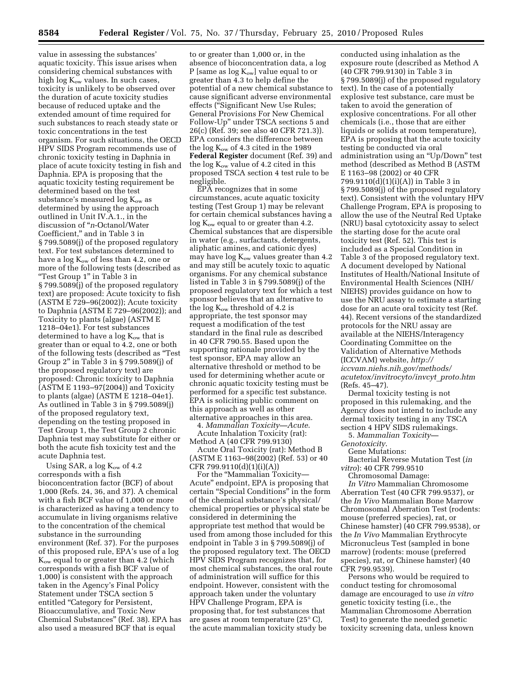value in assessing the substances' aquatic toxicity. This issue arises when considering chemical substances with high  $log K<sub>ow</sub>$  values. In such cases, toxicity is unlikely to be observed over the duration of acute toxicity studies because of reduced uptake and the extended amount of time required for such substances to reach steady state or toxic concentrations in the test organism. For such situations, the OECD HPV SIDS Program recommends use of chronic toxicity testing in Daphnia in place of acute toxicity testing in fish and Daphnia. EPA is proposing that the aquatic toxicity testing requirement be determined based on the test substance's measured  $log K_{ow}$  as determined by using the approach outlined in Unit IV.A.1., in the discussion of ''*n*-Octanol/Water Coefficient,'' and in Table 3 in § 799.5089(j) of the proposed regulatory text. For test substances determined to have a  $log K<sub>ow</sub>$  of less than 4.2, one or more of the following tests (described as ''Test Group 1'' in Table 3 in § 799.5089(j) of the proposed regulatory text) are proposed: Acute toxicity to fish (ASTM E 729–96(2002)); Acute toxicity to Daphnia (ASTM E 729–96(2002)); and Toxicity to plants (algae) (ASTM E 1218–04e1). For test substances determined to have a  $log K<sub>ow</sub>$  that is greater than or equal to 4.2, one or both of the following tests (described as ''Test Group 2'' in Table 3 in § 799.5089(j) of the proposed regulatory text) are proposed: Chronic toxicity to Daphnia (ASTM E 1193–97(2004)) and Toxicity to plants (algae) (ASTM E 1218–04e1). As outlined in Table 3 in § 799.5089(j) of the proposed regulatory text, depending on the testing proposed in Test Group 1, the Test Group 2 chronic Daphnia test may substitute for either or both the acute fish toxicity test and the acute Daphnia test.

Using SAR, a  $log K_{ow}$  of 4.2 corresponds with a fish bioconcentration factor (BCF) of about 1,000 (Refs. 24, 36, and 37). A chemical with a fish BCF value of 1,000 or more is characterized as having a tendency to accumulate in living organisms relative to the concentration of the chemical substance in the surrounding environment (Ref. 37). For the purposes of this proposed rule, EPA's use of a log  $K_{\rm ow}$  equal to or greater than 4.2 (which corresponds with a fish BCF value of 1,000) is consistent with the approach taken in the Agency's Final Policy Statement under TSCA section 5 entitled "Category for Persistent, Bioaccumulative, and Toxic New Chemical Substances'' (Ref. 38). EPA has also used a measured BCF that is equal

to or greater than 1,000 or, in the absence of bioconcentration data, a log P [same as  $log K_{ow}$ ] value equal to or greater than 4.3 to help define the potential of a new chemical substance to cause significant adverse environmental effects (''Significant New Use Rules; General Provisions For New Chemical Follow-Up'' under TSCA sections 5 and 26(c) (Ref. 39; see also 40 CFR 721.3)). EPA considers the difference between the  $log K<sub>ow</sub>$  of 4.3 cited in the 1989 **Federal Register** document (Ref. 39) and the  $log K<sub>ow</sub>$  value of 4.2 cited in this proposed TSCA section 4 test rule to be negligible.

EPA recognizes that in some circumstances, acute aquatic toxicity testing (Test Group 1) may be relevant for certain chemical substances having a  $log K<sub>ow</sub>$  equal to or greater than 4.2. Chemical substances that are dispersible in water (e.g., surfactants, detergents, aliphatic amines, and cationic dyes) may have  $log K_{ow}$  values greater than 4.2 and may still be acutely toxic to aquatic organisms. For any chemical substance listed in Table 3 in § 799.5089(j) of the proposed regulatory text for which a test sponsor believes that an alternative to the  $log K<sub>ow</sub>$  threshold of 4.2 is appropriate, the test sponsor may request a modification of the test standard in the final rule as described in 40 CFR 790.55. Based upon the supporting rationale provided by the test sponsor, EPA may allow an alternative threshold or method to be used for determining whether acute or chronic aquatic toxicity testing must be performed for a specific test substance. EPA is soliciting public comment on this approach as well as other alternative approaches in this area.

4. *Mammalian Toxicity—Acute*. Acute Inhalation Toxicity (rat): Method A (40 CFR 799.9130)

Acute Oral Toxicity (rat): Method B (ASTM E 1163–98(2002) (Ref. 53) or 40 CFR 799.9110(d)(1)(i)(A))

For the ''Mammalian Toxicity— Acute'' endpoint, EPA is proposing that certain ''Special Conditions'' in the form of the chemical substance's physical/ chemical properties or physical state be considered in determining the appropriate test method that would be used from among those included for this endpoint in Table 3 in § 799.5089(j) of the proposed regulatory text. The OECD HPV SIDS Program recognizes that, for most chemical substances, the oral route of administration will suffice for this endpoint. However, consistent with the approach taken under the voluntary HPV Challenge Program, EPA is proposing that, for test substances that are gases at room temperature (25° C), the acute mammalian toxicity study be

conducted using inhalation as the exposure route (described as Method A (40 CFR 799.9130) in Table 3 in § 799.5089(j) of the proposed regulatory text). In the case of a potentially explosive test substance, care must be taken to avoid the generation of explosive concentrations. For all other chemicals (i.e., those that are either liquids or solids at room temperature), EPA is proposing that the acute toxicity testing be conducted via oral administration using an ''Up/Down'' test method (described as Method B (ASTM E 1163–98 (2002) or 40 CFR 799.9110(d)(1)(i)(A)) in Table 3 in § 799.5089(j) of the proposed regulatory text). Consistent with the voluntary HPV Challenge Program, EPA is proposing to allow the use of the Neutral Red Uptake (NRU) basal cytotoxicity assay to select the starting dose for the acute oral toxicity test (Ref. 52). This test is included as a Special Condition in Table 3 of the proposed regulatory text. A document developed by National Institutes of Health/National Insitute of Environmental Health Sciences (NIH/ NIEHS) provides guidance on how to use the NRU assay to estimate a starting dose for an acute oral toxicity test (Ref. 44). Recent versions of the standardized protocols for the NRU assay are available at the NIEHS/Interagency Coordinating Committee on the Validation of Alternative Methods (ICCVAM) website, *http:// iccvam.niehs.nih.gov/methods/ acutetox/invitrocyto/invcyt*\_*proto.htm*  (Refs. 45–47).

Dermal toxicity testing is not proposed in this rulemaking, and the Agency does not intend to include any dermal toxicity testing in any TSCA section 4 HPV SIDS rulemakings.

5. *Mammalian Toxicity— Genotoxicity*.

Gene Mutations:

Bacterial Reverse Mutation Test (*in vitro*): 40 CFR 799.9510

Chromosomal Damage:

*In Vitro* Mammalian Chromosome Aberration Test (40 CFR 799.9537), or the *In Vivo* Mammalian Bone Marrow Chromosomal Aberration Test (rodents: mouse (preferred species), rat, or Chinese hamster) (40 CFR 799.9538), or the *In Vivo* Mammalian Erythrocyte Micronucleus Test (sampled in bone marrow) (rodents: mouse (preferred species), rat, or Chinese hamster) (40 CFR 799.9539).

Persons who would be required to conduct testing for chromosomal damage are encouraged to use *in vitro*  genetic toxicity testing (i.e., the Mammalian Chromosome Aberration Test) to generate the needed genetic toxicity screening data, unless known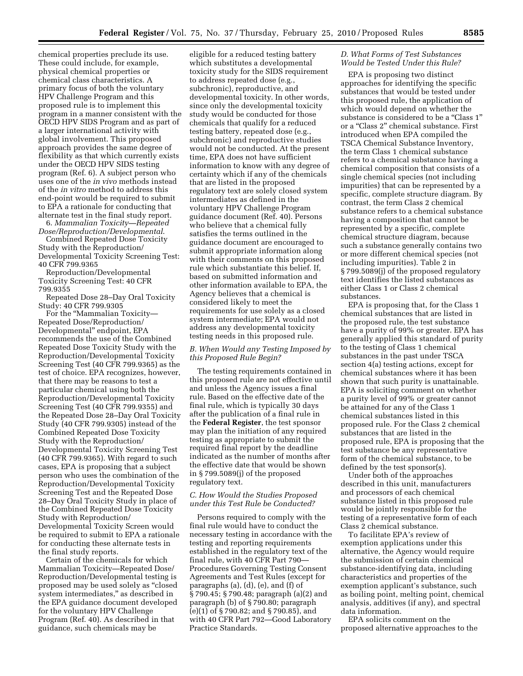chemical properties preclude its use. These could include, for example, physical chemical properties or chemical class characteristics. A primary focus of both the voluntary HPV Challenge Program and this proposed rule is to implement this program in a manner consistent with the OECD HPV SIDS Program and as part of a larger international activity with global involvement. This proposed approach provides the same degree of flexibility as that which currently exists under the OECD HPV SIDS testing program (Ref. 6). A subject person who uses one of the *in vivo* methods instead of the *in vitro* method to address this end-point would be required to submit to EPA a rationale for conducting that alternate test in the final study report.

6. *Mammalian Toxicity—Repeated Dose/Reproduction/Developmental*.

Combined Repeated Dose Toxicity Study with the Reproduction/ Developmental Toxicity Screening Test: 40 CFR 799.9365

Reproduction/Developmental Toxicity Screening Test: 40 CFR 799.9355

Repeated Dose 28–Day Oral Toxicity Study: 40 CFR 799.9305

For the "Mammalian Toxicity-Repeated Dose/Reproduction/ Developmental'' endpoint, EPA recommends the use of the Combined Repeated Dose Toxicity Study with the Reproduction/Developmental Toxicity Screening Test (40 CFR 799.9365) as the test of choice. EPA recognizes, however, that there may be reasons to test a particular chemical using both the Reproduction/Developmental Toxicity Screening Test (40 CFR 799.9355) and the Repeated Dose 28–Day Oral Toxicity Study (40 CFR 799.9305) instead of the Combined Repeated Dose Toxicity Study with the Reproduction/ Developmental Toxicity Screening Test (40 CFR 799.9365). With regard to such cases, EPA is proposing that a subject person who uses the combination of the Reproduction/Developmental Toxicity Screening Test and the Repeated Dose 28–Day Oral Toxicity Study in place of the Combined Repeated Dose Toxicity Study with Reproduction/ Developmental Toxicity Screen would be required to submit to EPA a rationale for conducting these alternate tests in the final study reports.

Certain of the chemicals for which Mammalian Toxicity—Repeated Dose/ Reproduction/Developmental testing is proposed may be used solely as ''closed system intermediates,'' as described in the EPA guidance document developed for the voluntary HPV Challenge Program (Ref. 40). As described in that guidance, such chemicals may be

eligible for a reduced testing battery which substitutes a developmental toxicity study for the SIDS requirement to address repeated dose (e.g., subchronic), reproductive, and developmental toxicity. In other words, since only the developmental toxicity study would be conducted for those chemicals that qualify for a reduced testing battery, repeated dose (e.g., subchronic) and reproductive studies would not be conducted. At the present time, EPA does not have sufficient information to know with any degree of certainty which if any of the chemicals that are listed in the proposed regulatory text are solely closed system intermediates as defined in the voluntary HPV Challenge Program guidance document (Ref. 40). Persons who believe that a chemical fully satisfies the terms outlined in the guidance document are encouraged to submit appropriate information along with their comments on this proposed rule which substantiate this belief. If, based on submitted information and other information available to EPA, the Agency believes that a chemical is considered likely to meet the requirements for use solely as a closed system intermediate; EPA would not address any developmental toxicity testing needs in this proposed rule.

### *B. When Would any Testing Imposed by this Proposed Rule Begin?*

The testing requirements contained in this proposed rule are not effective until and unless the Agency issues a final rule. Based on the effective date of the final rule, which is typically 30 days after the publication of a final rule in the **Federal Register**, the test sponsor may plan the initiation of any required testing as appropriate to submit the required final report by the deadline indicated as the number of months after the effective date that would be shown in § 799.5089(j) of the proposed regulatory text.

#### *C. How Would the Studies Proposed under this Test Rule be Conducted?*

Persons required to comply with the final rule would have to conduct the necessary testing in accordance with the testing and reporting requirements established in the regulatory text of the final rule, with 40 CFR Part 790— Procedures Governing Testing Consent Agreements and Test Rules (except for paragraphs (a), (d), (e), and (f) of § 790.45; § 790.48; paragraph (a)(2) and paragraph (b) of § 790.80; paragraph  $(e)(1)$  of § 790.82; and § 790.85), and with 40 CFR Part 792—Good Laboratory Practice Standards.

# *D. What Forms of Test Substances Would be Tested Under this Rule?*

EPA is proposing two distinct approaches for identifying the specific substances that would be tested under this proposed rule, the application of which would depend on whether the substance is considered to be a "Class 1" or a ''Class 2'' chemical substance. First introduced when EPA compiled the TSCA Chemical Substance Inventory, the term Class 1 chemical substance refers to a chemical substance having a chemical composition that consists of a single chemical species (not including impurities) that can be represented by a specific, complete structure diagram. By contrast, the term Class 2 chemical substance refers to a chemical substance having a composition that cannot be represented by a specific, complete chemical structure diagram, because such a substance generally contains two or more different chemical species (not including impurities). Table 2 in § 799.5089(j) of the proposed regulatory text identifies the listed substances as either Class 1 or Class 2 chemical substances.

EPA is proposing that, for the Class 1 chemical substances that are listed in the proposed rule, the test substance have a purity of 99% or greater. EPA has generally applied this standard of purity to the testing of Class 1 chemical substances in the past under TSCA section 4(a) testing actions, except for chemical substances where it has been shown that such purity is unattainable. EPA is soliciting comment on whether a purity level of 99% or greater cannot be attained for any of the Class 1 chemical substances listed in this proposed rule. For the Class 2 chemical substances that are listed in the proposed rule, EPA is proposing that the test substance be any representative form of the chemical substance, to be defined by the test sponsor(s).

Under both of the approaches described in this unit, manufacturers and processors of each chemical substance listed in this proposed rule would be jointly responsible for the testing of a representative form of each Class 2 chemical substance.

To facilitate EPA's review of exemption applications under this alternative, the Agency would require the submission of certain chemical substance-identifying data, including characteristics and properties of the exemption applicant's substance, such as boiling point, melting point, chemical analysis, additives (if any), and spectral data information.

EPA solicits comment on the proposed alternative approaches to the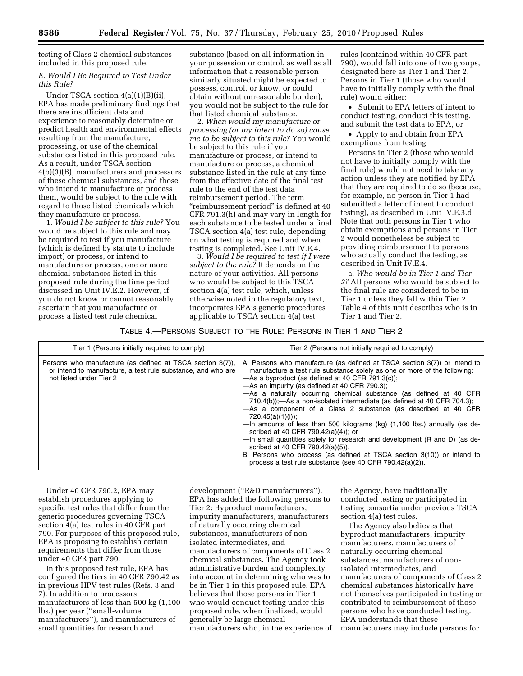testing of Class 2 chemical substances included in this proposed rule.

# *E. Would I Be Required to Test Under this Rule?*

Under TSCA section 4(a)(1)(B)(ii), EPA has made preliminary findings that there are insufficient data and experience to reasonably determine or predict health and environmental effects resulting from the manufacture, processing, or use of the chemical substances listed in this proposed rule. As a result, under TSCA section 4(b)(3)(B), manufacturers and processors of these chemical substances, and those who intend to manufacture or process them, would be subject to the rule with regard to those listed chemicals which they manufacture or process.

1. *Would I be subject to this rule?* You would be subject to this rule and may be required to test if you manufacture (which is defined by statute to include import) or process, or intend to manufacture or process, one or more chemical substances listed in this proposed rule during the time period discussed in Unit IV.E.2. However, if you do not know or cannot reasonably ascertain that you manufacture or process a listed test rule chemical

substance (based on all information in your possession or control, as well as all information that a reasonable person similarly situated might be expected to possess, control, or know, or could obtain without unreasonable burden), you would not be subject to the rule for that listed chemical substance.

2. *When would my manufacture or processing (or my intent to do so) cause me to be subject to this rule?* You would be subject to this rule if you manufacture or process, or intend to manufacture or process, a chemical substance listed in the rule at any time from the effective date of the final test rule to the end of the test data reimbursement period. The term "reimbursement period" is defined at 40 CFR 791.3(h) and may vary in length for each substance to be tested under a final TSCA section 4(a) test rule, depending on what testing is required and when testing is completed. See Unit IV.E.4.

3. *Would I be required to test if I were subject to the rule?* It depends on the nature of your activities. All persons who would be subject to this TSCA section 4(a) test rule, which, unless otherwise noted in the regulatory text, incorporates EPA's generic procedures applicable to TSCA section 4(a) test

rules (contained within 40 CFR part 790), would fall into one of two groups, designated here as Tier 1 and Tier 2. Persons in Tier 1 (those who would have to initially comply with the final rule) would either:

• Submit to EPA letters of intent to conduct testing, conduct this testing, and submit the test data to EPA, or

• Apply to and obtain from EPA exemptions from testing.

Persons in Tier 2 (those who would not have to initially comply with the final rule) would not need to take any action unless they are notified by EPA that they are required to do so (because, for example, no person in Tier 1 had submitted a letter of intent to conduct testing), as described in Unit IV.E.3.d. Note that both persons in Tier 1 who obtain exemptions and persons in Tier 2 would nonetheless be subject to providing reimbursement to persons who actually conduct the testing, as described in Unit IV.E.4.

a. *Who would be in Tier 1 and Tier 2?* All persons who would be subject to the final rule are considered to be in Tier 1 unless they fall within Tier 2. Table 4 of this unit describes who is in Tier 1 and Tier 2.

## TABLE 4.—PERSONS SUBJECT TO THE RULE: PERSONS IN TIER 1 AND TIER 2

| Tier 1 (Persons initially required to comply)                                                                                                         | Tier 2 (Persons not initially required to comply)                                                                                                                                                                                                                                                                                                                                                                                                                                                                                                                                                                                                                                                                                                                                                                                                                                      |
|-------------------------------------------------------------------------------------------------------------------------------------------------------|----------------------------------------------------------------------------------------------------------------------------------------------------------------------------------------------------------------------------------------------------------------------------------------------------------------------------------------------------------------------------------------------------------------------------------------------------------------------------------------------------------------------------------------------------------------------------------------------------------------------------------------------------------------------------------------------------------------------------------------------------------------------------------------------------------------------------------------------------------------------------------------|
| Persons who manufacture (as defined at TSCA section 3(7)),<br>or intend to manufacture, a test rule substance, and who are<br>not listed under Tier 2 | A. Persons who manufacture (as defined at TSCA section 3(7)) or intend to<br>manufacture a test rule substance solely as one or more of the following:<br>$-$ As a byproduct (as defined at 40 CFR 791.3(c));<br>-As an impurity (as defined at 40 CFR 790.3);<br>-As a naturally occurring chemical substance (as defined at 40 CFR<br>710.4(b));—As a non-isolated intermediate (as defined at 40 CFR 704.3);<br>-As a component of a Class 2 substance (as described at 40 CFR<br>$720.45(a)(1)(i)$ ;<br>-In amounts of less than 500 kilograms (kg) $(1,100$ lbs.) annually (as de-<br>scribed at 40 CFR 790.42(a)(4)); or<br>-In small quantities solely for research and development (R and D) (as de-<br>scribed at 40 CFR 790.42(a)(5)).<br>B. Persons who process (as defined at TSCA section 3(10)) or intend to<br>process a test rule substance (see 40 CFR 790.42(a)(2)). |

Under 40 CFR 790.2, EPA may establish procedures applying to specific test rules that differ from the generic procedures governing TSCA section 4(a) test rules in 40 CFR part 790. For purposes of this proposed rule, EPA is proposing to establish certain requirements that differ from those under 40 CFR part 790.

In this proposed test rule, EPA has configured the tiers in 40 CFR 790.42 as in previous HPV test rules (Refs. 3 and 7). In addition to processors, manufacturers of less than 500 kg (1,100 lbs.) per year (''small-volume manufacturers''), and manufacturers of small quantities for research and

development (''R&D manufacturers''), EPA has added the following persons to Tier 2: Byproduct manufacturers, impurity manufacturers, manufacturers of naturally occurring chemical substances, manufacturers of nonisolated intermediates, and manufacturers of components of Class 2 chemical substances. The Agency took administrative burden and complexity into account in determining who was to be in Tier 1 in this proposed rule. EPA believes that those persons in Tier 1 who would conduct testing under this proposed rule, when finalized, would generally be large chemical manufacturers who, in the experience of

the Agency, have traditionally conducted testing or participated in testing consortia under previous TSCA section 4(a) test rules.

The Agency also believes that byproduct manufacturers, impurity manufacturers, manufacturers of naturally occurring chemical substances, manufacturers of nonisolated intermediates, and manufacturers of components of Class 2 chemical substances historically have not themselves participated in testing or contributed to reimbursement of those persons who have conducted testing. EPA understands that these manufacturers may include persons for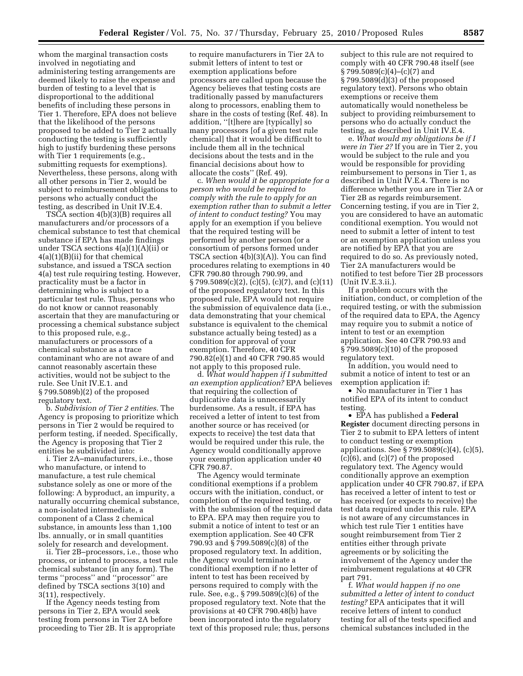whom the marginal transaction costs involved in negotiating and administering testing arrangements are deemed likely to raise the expense and burden of testing to a level that is disproportional to the additional benefits of including these persons in Tier 1. Therefore, EPA does not believe that the likelihood of the persons proposed to be added to Tier 2 actually conducting the testing is sufficiently high to justify burdening these persons with Tier 1 requirements (e.g., submitting requests for exemptions). Nevertheless, these persons, along with all other persons in Tier 2, would be subject to reimbursement obligations to persons who actually conduct the testing, as described in Unit IV.E.4.

TSCA section 4(b)(3)(B) requires all manufacturers and/or processors of a chemical substance to test that chemical substance if EPA has made findings under TSCA sections 4(a)(1)(A)(ii) or  $4(a)(1)(B)(ii)$  for that chemical substance, and issued a TSCA section 4(a) test rule requiring testing. However, practicality must be a factor in determining who is subject to a particular test rule. Thus, persons who do not know or cannot reasonably ascertain that they are manufacturing or processing a chemical substance subject to this proposed rule, e.g., manufacturers or processors of a chemical substance as a trace contaminant who are not aware of and cannot reasonably ascertain these activities, would not be subject to the rule. See Unit IV.E.1. and § 799.5089b)(2) of the proposed regulatory text.

b. *Subdivision of Tier 2 entities*. The Agency is proposing to prioritize which persons in Tier 2 would be required to perform testing, if needed. Specifically, the Agency is proposing that Tier 2 entities be subdivided into:

i. Tier 2A–manufacturers, i.e., those who manufacture, or intend to manufacture, a test rule chemical substance solely as one or more of the following: A byproduct, an impurity, a naturally occurring chemical substance, a non-isolated intermediate, a component of a Class 2 chemical substance, in amounts less than 1,100 lbs. annually, or in small quantities solely for research and development.

ii. Tier 2B–processors, i.e., those who process, or intend to process, a test rule chemical substance (in any form). The terms ''process'' and ''processor'' are defined by TSCA sections 3(10) and 3(11), respectively.

If the Agency needs testing from persons in Tier 2, EPA would seek testing from persons in Tier 2A before proceeding to Tier 2B. It is appropriate

to require manufacturers in Tier 2A to submit letters of intent to test or exemption applications before processors are called upon because the Agency believes that testing costs are traditionally passed by manufacturers along to processors, enabling them to share in the costs of testing (Ref. 48). In addition, ''[t]here are [typically] so many processors [of a given test rule chemical] that it would be difficult to include them all in the technical decisions about the tests and in the financial decisions about how to allocate the costs'' (Ref. 49).

c. *When would it be appropriate for a person who would be required to comply with the rule to apply for an exemption rather than to submit a letter of intent to conduct testing?* You may apply for an exemption if you believe that the required testing will be performed by another person (or a consortium of persons formed under TSCA section 4(b)(3)(A)). You can find procedures relating to exemptions in 40 CFR 790.80 through 790.99, and  $\S 799.5089(c)(2)$ , (c)(5), (c)(7), and (c)(11) of the proposed regulatory text. In this proposed rule, EPA would not require the submission of equivalence data (i.e., data demonstrating that your chemical substance is equivalent to the chemical substance actually being tested) as a condition for approval of your exemption. Therefore, 40 CFR 790.82(e)(1) and 40 CFR 790.85 would not apply to this proposed rule.

d. *What would happen if I submitted an exemption application?* EPA believes that requiring the collection of duplicative data is unnecessarily burdensome. As a result, if EPA has received a letter of intent to test from another source or has received (or expects to receive) the test data that would be required under this rule, the Agency would conditionally approve your exemption application under 40 CFR 790.87.

The Agency would terminate conditional exemptions if a problem occurs with the initiation, conduct, or completion of the required testing, or with the submission of the required data to EPA. EPA may then require you to submit a notice of intent to test or an exemption application. See 40 CFR 790.93 and § 799.5089(c)(8) of the proposed regulatory text. In addition, the Agency would terminate a conditional exemption if no letter of intent to test has been received by persons required to comply with the rule. See, e.g., § 799.5089(c)(6) of the proposed regulatory text. Note that the provisions at 40 CFR 790.48(b) have been incorporated into the regulatory text of this proposed rule; thus, persons

subject to this rule are not required to comply with 40 CFR 790.48 itself (see  $\S 799.5089(c)(4)–(c)(7)$  and § 799.5089(d)(3) of the proposed regulatory text). Persons who obtain exemptions or receive them automatically would nonetheless be subject to providing reimbursement to persons who do actually conduct the testing, as described in Unit IV.E.4.

e. *What would my obligations be if I were in Tier 2?* If you are in Tier 2, you would be subject to the rule and you would be responsible for providing reimbursement to persons in Tier 1, as described in Unit IV.E.4. There is no difference whether you are in Tier 2A or Tier 2B as regards reimbursement. Concerning testing, if you are in Tier 2, you are considered to have an automatic conditional exemption. You would not need to submit a letter of intent to test or an exemption application unless you are notified by EPA that you are required to do so. As previously noted, Tier 2A manufacturers would be notified to test before Tier 2B processors (Unit IV.E.3.ii.).

If a problem occurs with the initiation, conduct, or completion of the required testing, or with the submission of the required data to EPA, the Agency may require you to submit a notice of intent to test or an exemption application. See 40 CFR 790.93 and § 799.5089(c)(10) of the proposed regulatory text.

In addition, you would need to submit a notice of intent to test or an exemption application if:

• No manufacturer in Tier 1 has notified EPA of its intent to conduct testing.

• EPA has published a **Federal Register** document directing persons in Tier 2 to submit to EPA letters of intent to conduct testing or exemption applications. See § 799.5089(c)(4), (c)(5), (c)(6), and (c)(7) of the proposed regulatory text. The Agency would conditionally approve an exemption application under 40 CFR 790.87, if EPA has received a letter of intent to test or has received (or expects to receive) the test data required under this rule. EPA is not aware of any circumstances in which test rule Tier 1 entities have sought reimbursement from Tier 2 entities either through private agreements or by soliciting the involvement of the Agency under the reimbursement regulations at 40 CFR part 791.

f. *What would happen if no one submitted a letter of intent to conduct testing?* EPA anticipates that it will receive letters of intent to conduct testing for all of the tests specified and chemical substances included in the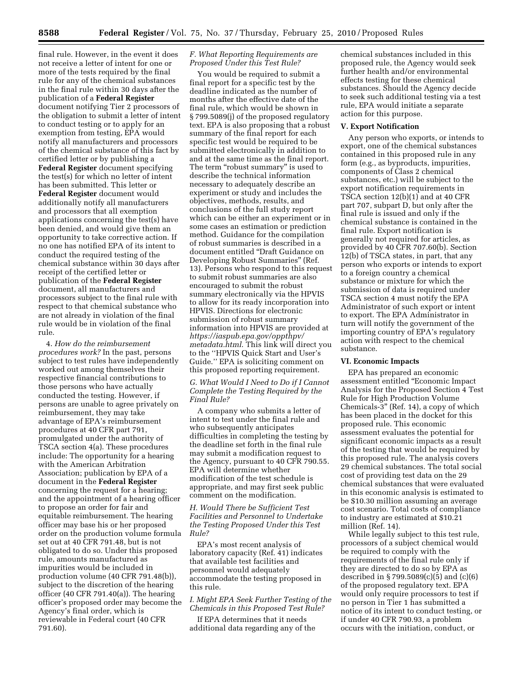final rule. However, in the event it does not receive a letter of intent for one or more of the tests required by the final rule for any of the chemical substances in the final rule within 30 days after the publication of a **Federal Register**  document notifying Tier 2 processors of the obligation to submit a letter of intent to conduct testing or to apply for an exemption from testing, EPA would notify all manufacturers and processors of the chemical substance of this fact by certified letter or by publishing a **Federal Register** document specifying the test(s) for which no letter of intent has been submitted. This letter or **Federal Register** document would additionally notify all manufacturers and processors that all exemption applications concerning the test(s) have been denied, and would give them an opportunity to take corrective action. If no one has notified EPA of its intent to conduct the required testing of the chemical substance within 30 days after receipt of the certified letter or publication of the **Federal Register**  document, all manufacturers and processors subject to the final rule with respect to that chemical substance who are not already in violation of the final rule would be in violation of the final rule.

4. *How do the reimbursement procedures work?* In the past, persons subject to test rules have independently worked out among themselves their respective financial contributions to those persons who have actually conducted the testing. However, if persons are unable to agree privately on reimbursement, they may take advantage of EPA's reimbursement procedures at 40 CFR part 791, promulgated under the authority of TSCA section 4(a). These procedures include: The opportunity for a hearing with the American Arbitration Association; publication by EPA of a document in the **Federal Register**  concerning the request for a hearing; and the appointment of a hearing officer to propose an order for fair and equitable reimbursement. The hearing officer may base his or her proposed order on the production volume formula set out at 40 CFR 791.48, but is not obligated to do so. Under this proposed rule, amounts manufactured as impurities would be included in production volume (40 CFR 791.48(b)), subject to the discretion of the hearing officer (40 CFR 791.40(a)). The hearing officer's proposed order may become the Agency's final order, which is reviewable in Federal court (40 CFR 791.60).

# *F. What Reporting Requirements are Proposed Under this Test Rule?*

You would be required to submit a final report for a specific test by the deadline indicated as the number of months after the effective date of the final rule, which would be shown in § 799.5089(j) of the proposed regulatory text. EPA is also proposing that a robust summary of the final report for each specific test would be required to be submitted electronically in addition to and at the same time as the final report. The term "robust summary" is used to describe the technical information necessary to adequately describe an experiment or study and includes the objectives, methods, results, and conclusions of the full study report which can be either an experiment or in some cases an estimation or prediction method. Guidance for the compilation of robust summaries is described in a document entitled ''Draft Guidance on Developing Robust Summaries'' (Ref. 13). Persons who respond to this request to submit robust summaries are also encouraged to submit the robust summary electronically via the HPVIS to allow for its ready incorporation into HPVIS. Directions for electronic submission of robust summary information into HPVIS are provided at *https://iaspub.epa.gov/oppthpv/ metadata.html*. This link will direct you to the ''HPVIS Quick Start and User's Guide.'' EPA is soliciting comment on this proposed reporting requirement.

### *G. What Would I Need to Do if I Cannot Complete the Testing Required by the Final Rule?*

A company who submits a letter of intent to test under the final rule and who subsequently anticipates difficulties in completing the testing by the deadline set forth in the final rule may submit a modification request to the Agency, pursuant to 40 CFR 790.55. EPA will determine whether modification of the test schedule is appropriate, and may first seek public comment on the modification.

# *H. Would There be Sufficient Test Facilities and Personnel to Undertake the Testing Proposed Under this Test Rule?*

EPA's most recent analysis of laboratory capacity (Ref. 41) indicates that available test facilities and personnel would adequately accommodate the testing proposed in this rule.

# *I. Might EPA Seek Further Testing of the Chemicals in this Proposed Test Rule?*

If EPA determines that it needs additional data regarding any of the chemical substances included in this proposed rule, the Agency would seek further health and/or environmental effects testing for these chemical substances. Should the Agency decide to seek such additional testing via a test rule, EPA would initiate a separate action for this purpose.

#### **V. Export Notification**

Any person who exports, or intends to export, one of the chemical substances contained in this proposed rule in any form (e.g., as byproducts, impurities, components of Class 2 chemical substances, etc.) will be subject to the export notification requirements in TSCA section 12(b)(1) and at 40 CFR part 707, subpart D, but only after the final rule is issued and only if the chemical substance is contained in the final rule. Export notification is generally not required for articles, as provided by 40 CFR 707.60(b). Section 12(b) of TSCA states, in part, that any person who exports or intends to export to a foreign country a chemical substance or mixture for which the submission of data is required under TSCA section 4 must notify the EPA Administrator of such export or intent to export. The EPA Administrator in turn will notify the government of the importing country of EPA's regulatory action with respect to the chemical substance.

#### **VI. Economic Impacts**

EPA has prepared an economic assessment entitled ''Economic Impact Analysis for the Proposed Section 4 Test Rule for High Production Volume Chemicals-3'' (Ref. 14), a copy of which has been placed in the docket for this proposed rule. This economic assessment evaluates the potential for significant economic impacts as a result of the testing that would be required by this proposed rule. The analysis covers 29 chemical substances. The total social cost of providing test data on the 29 chemical substances that were evaluated in this economic analysis is estimated to be \$10.30 million assuming an average cost scenario. Total costs of compliance to industry are estimated at \$10.21 million (Ref. 14).

While legally subject to this test rule, processors of a subject chemical would be required to comply with the requirements of the final rule only if they are directed to do so by EPA as described in § 799.5089(c)(5) and (c)(6) of the proposed regulatory text. EPA would only require processors to test if no person in Tier 1 has submitted a notice of its intent to conduct testing, or if under 40 CFR 790.93, a problem occurs with the initiation, conduct, or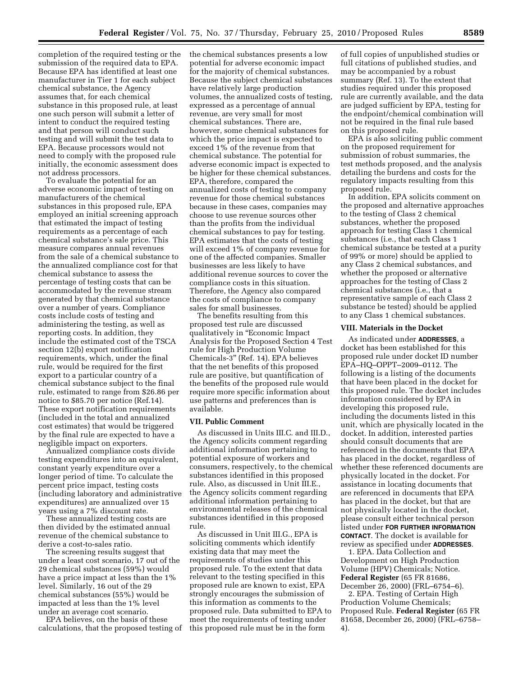completion of the required testing or the submission of the required data to EPA. Because EPA has identified at least one manufacturer in Tier 1 for each subject chemical substance, the Agency assumes that, for each chemical substance in this proposed rule, at least one such person will submit a letter of intent to conduct the required testing and that person will conduct such testing and will submit the test data to EPA. Because processors would not need to comply with the proposed rule initially, the economic assessment does not address processors.

To evaluate the potential for an adverse economic impact of testing on manufacturers of the chemical substances in this proposed rule, EPA employed an initial screening approach that estimated the impact of testing requirements as a percentage of each chemical substance's sale price. This measure compares annual revenues from the sale of a chemical substance to the annualized compliance cost for that chemical substance to assess the percentage of testing costs that can be accommodated by the revenue stream generated by that chemical substance over a number of years. Compliance costs include costs of testing and administering the testing, as well as reporting costs. In addition, they include the estimated cost of the TSCA section 12(b) export notification requirements, which, under the final rule, would be required for the first export to a particular country of a chemical substance subject to the final rule, estimated to range from \$26.86 per notice to \$85.70 per notice (Ref.14). These export notification requirements (included in the total and annualized cost estimates) that would be triggered by the final rule are expected to have a negligible impact on exporters.

Annualized compliance costs divide testing expenditures into an equivalent, constant yearly expenditure over a longer period of time. To calculate the percent price impact, testing costs (including laboratory and administrative expenditures) are annualized over 15 years using a 7% discount rate.

These annualized testing costs are then divided by the estimated annual revenue of the chemical substance to derive a cost-to-sales ratio.

The screening results suggest that under a least cost scenario, 17 out of the 29 chemical substances (59%) would have a price impact at less than the 1% level. Similarly, 16 out of the 29 chemical substances (55%) would be impacted at less than the 1% level under an average cost scenario.

EPA believes, on the basis of these calculations, that the proposed testing of the chemical substances presents a low potential for adverse economic impact for the majority of chemical substances. Because the subject chemical substances have relatively large production volumes, the annualized costs of testing, expressed as a percentage of annual revenue, are very small for most chemical substances. There are, however, some chemical substances for which the price impact is expected to exceed 1% of the revenue from that chemical substance. The potential for adverse economic impact is expected to be higher for these chemical substances. EPA, therefore, compared the annualized costs of testing to company revenue for those chemical substances because in these cases, companies may choose to use revenue sources other than the profits from the individual chemical substances to pay for testing. EPA estimates that the costs of testing will exceed 1% of company revenue for one of the affected companies. Smaller businesses are less likely to have additional revenue sources to cover the compliance costs in this situation. Therefore, the Agency also compared the costs of compliance to company sales for small businesses.

The benefits resulting from this proposed test rule are discussed qualitatively in ''Economic Impact Analysis for the Proposed Section 4 Test rule for High Production Volume Chemicals-3'' (Ref. 14). EPA believes that the net benefits of this proposed rule are positive, but quantification of the benefits of the proposed rule would require more specific information about use patterns and preferences than is available.

### **VII. Public Comment**

As discussed in Units III.C. and III.D., the Agency solicits comment regarding additional information pertaining to potential exposure of workers and consumers, respectively, to the chemical substances identified in this proposed rule. Also, as discussed in Unit III.E., the Agency solicits comment regarding additional information pertaining to environmental releases of the chemical substances identified in this proposed rule.

As discussed in Unit III.G., EPA is soliciting comments which identify existing data that may meet the requirements of studies under this proposed rule. To the extent that data relevant to the testing specified in this proposed rule are known to exist, EPA strongly encourages the submission of this information as comments to the proposed rule. Data submitted to EPA to meet the requirements of testing under this proposed rule must be in the form

of full copies of unpublished studies or full citations of published studies, and may be accompanied by a robust summary (Ref. 13). To the extent that studies required under this proposed rule are currently available, and the data are judged sufficient by EPA, testing for the endpoint/chemical combination will not be required in the final rule based on this proposed rule.

EPA is also soliciting public comment on the proposed requirement for submission of robust summaries, the test methods proposed, and the analysis detailing the burdens and costs for the regulatory impacts resulting from this proposed rule.

In addition, EPA solicits comment on the proposed and alternative approaches to the testing of Class 2 chemical substances, whether the proposed approach for testing Class 1 chemical substances (i.e., that each Class 1 chemical substance be tested at a purity of 99% or more) should be applied to any Class 2 chemical substances, and whether the proposed or alternative approaches for the testing of Class 2 chemical substances (i.e., that a representative sample of each Class 2 substance be tested) should be applied to any Class 1 chemical substances.

#### **VIII. Materials in the Docket**

As indicated under **ADDRESSES**, a docket has been established for this proposed rule under docket ID number EPA–HQ–OPPT–2009–0112. The following is a listing of the documents that have been placed in the docket for this proposed rule. The docket includes information considered by EPA in developing this proposed rule, including the documents listed in this unit, which are physically located in the docket. In addition, interested parties should consult documents that are referenced in the documents that EPA has placed in the docket, regardless of whether these referenced documents are physically located in the docket. For assistance in locating documents that are referenced in documents that EPA has placed in the docket, but that are not physically located in the docket, please consult either technical person listed under **FOR FURTHER INFORMATION CONTACT**. The docket is available for review as specified under **ADDRESSES**.

1. EPA. Data Collection and Development on High Production Volume (HPV) Chemicals; Notice. **Federal Register** (65 FR 81686, December 26, 2000) (FRL–6754–6).

2. EPA. Testing of Certain High Production Volume Chemicals; Proposed Rule. **Federal Register** (65 FR 81658, December 26, 2000) (FRL–6758– 4).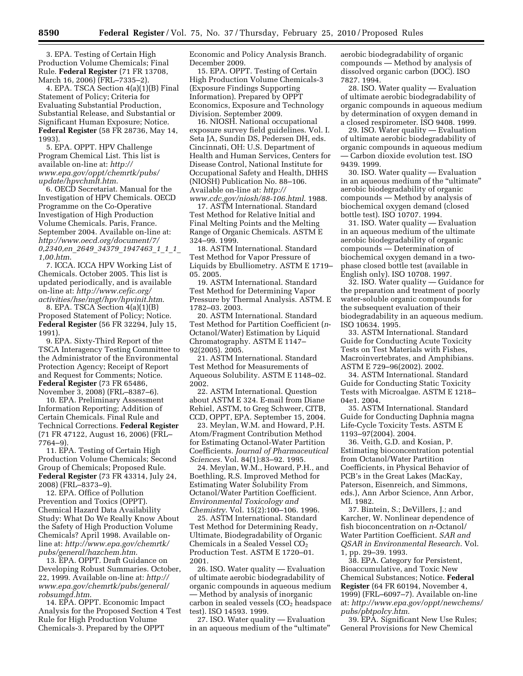3. EPA. Testing of Certain High Production Volume Chemicals; Final Rule. **Federal Register** (71 FR 13708, March 16, 2006) (FRL–7335–2).

4. EPA. TSCA Section 4(a)(1)(B) Final Statement of Policy; Criteria for Evaluating Substantial Production, Substantial Release, and Substantial or Significant Human Exposure; Notice. **Federal Register** (58 FR 28736, May 14, 1993).

5. EPA. OPPT. HPV Challenge Program Chemical List. This list is available on-line at: *http:// www.epa.gov/oppt/chemrtk/pubs/ update/hpvchmlt.htm*.

6. OECD Secretariat. Manual for the Investigation of HPV Chemicals. OECD Programme on the Co-Operative Investigation of High Production Volume Chemicals. Paris, France. September 2004. Available on-line at: *http://www.oecd.org/document/7/ 0,2340,en*\_*2649*\_*34379*\_*1947463*\_*1*\_*1*\_*1*\_ *1,00.htm*.

7. ICCA. ICCA HPV Working List of Chemicals. October 2005. This list is updated periodically, and is available on-line at: *http://www.cefic.org/ activities/hse/mgt/hpv/hpvinit.htm*.

8. EPA. TSCA Section 4(a)(1)(B) Proposed Statement of Policy; Notice. **Federal Register** (56 FR 32294, July 15, 1991).

9. EPA. Sixty-Third Report of the TSCA Interagency Testing Committee to the Administrator of the Environmental Protection Agency; Receipt of Report and Request for Comments; Notice. **Federal Register** (73 FR 65486, November 3, 2008) (FRL–8387–6).

10. EPA. Preliminary Assessment Information Reporting; Addition of Certain Chemicals. Final Rule and Technical Corrections. **Federal Register**  (71 FR 47122, August 16, 2006) (FRL– 7764–9).

11. EPA. Testing of Certain High Production Volume Chemicals; Second Group of Chemicals; Proposed Rule. **Federal Register** (73 FR 43314, July 24, 2008) (FRL–8373–9).

12. EPA. Office of Pollution Prevention and Toxics (OPPT). Chemical Hazard Data Availability Study: What Do We Really Know About the Safety of High Production Volume Chemicals? April 1998. Available online at: *http://www.epa.gov/chemrtk/ pubs/general/hazchem.htm*.

13. EPA. OPPT. Draft Guidance on Developing Robust Summaries. October, 22, 1999. Available on-line at: *http:// www.epa.gov/chemrtk/pubs/general/ robsumgd.htm*.

14. EPA. OPPT. Economic Impact Analysis for the Proposed Section 4 Test Rule for High Production Volume Chemicals-3. Prepared by the OPPT

Economic and Policy Analysis Branch. December 2009.

15. EPA. OPPT. Testing of Certain High Production Volume Chemicals-3 (Exposure Findings Supporting Information). Prepared by OPPT Economics, Exposure and Technology Division. September 2009.

16. NIOSH. National occupational exposure survey field guidelines. Vol. I. Seta JA, Sundin DS, Pedersen DH, eds. Cincinnati, OH: U.S. Department of Health and Human Services, Centers for Disease Control, National Institute for Occupational Safety and Health, DHHS (NIOSH) Publication No. 88–106. Available on-line at: *http:// www.cdc.gov/niosh/88-106.html*. 1988.

17. ASTM International. Standard Test Method for Relative Initial and Final Melting Points and the Melting Range of Organic Chemicals. ASTM E 324–99. 1999.

18. ASTM International. Standard Test Method for Vapor Pressure of Liquids by Ebulliometry. ASTM E 1719– 05. 2005.

19. ASTM International. Standard Test Method for Determining Vapor Pressure by Thermal Analysis. ASTM. E 1782–03. 2003.

20. ASTM International. Standard Test Method for Partition Coefficient (*n*-Octanol/Water) Estimation by Liquid Chromatography. ASTM E 1147– 92(2005). 2005.

21. ASTM International. Standard Test Method for Measurements of Aqueous Solubility. ASTM E 1148–02. 2002.

22. ASTM International. Question about ASTM E 324. E-mail from Diane Rehiel, ASTM, to Greg Schweer, CITB, CCD, OPPT, EPA. September 15, 2004.

23. Meylan, W.M. and Howard, P.H. Atom/Fragment Contribution Method for Estimating Octanol-Water Partition Coefficients. *Journal of Pharmaceutical Sciences.* Vol. 84(1):83–92. 1995.

24. Meylan, W.M., Howard, P.H., and Boethling, R.S. Improved Method for Estimating Water Solubility From Octanol/Water Partition Coefficient. *Environmental Toxicology and Chemistry*. Vol. 15(2):100–106. 1996.

25. ASTM International. Standard Test Method for Determining Ready, Ultimate, Biodegradability of Organic Chemicals in a Sealed Vessel CO<sub>2</sub> Production Test. ASTM E 1720–01. 2001.

26. ISO. Water quality — Evaluation of ultimate aerobic biodegradability of organic compounds in aqueous medium — Method by analysis of inorganic  $\alpha$  carbon in sealed vessels  $\left({\rm CO}_2\right)$  headspace test). ISO 14593. 1999.

27. ISO. Water quality — Evaluation in an aqueous medium of the "ultimate" aerobic biodegradability of organic compounds — Method by analysis of dissolved organic carbon (DOC). ISO 7827. 1994.

28. ISO. Water quality — Evaluation of ultimate aerobic biodegradability of organic compounds in aqueous medium by determination of oxygen demand in a closed respirometer. ISO 9408. 1999.

29. ISO. Water quality — Evaluation of ultimate aerobic biodegradability of organic compounds in aqueous medium — Carbon dioxide evolution test. ISO 9439. 1999.

30. ISO. Water quality — Evaluation in an aqueous medium of the ''ultimate'' aerobic biodegradability of organic compounds — Method by analysis of biochemical oxygen demand (closed bottle test). ISO 10707. 1994.

31. ISO. Water quality — Evaluation in an aqueous medium of the ultimate aerobic biodegradability of organic compounds — Determination of biochemical oxygen demand in a twophase closed bottle test (available in English only). ISO 10708. 1997.

32. ISO. Water quality — Guidance for the preparation and treatment of poorly water-soluble organic compounds for the subsequent evaluation of their biodegradability in an aqueous medium. ISO 10634. 1995.

33. ASTM International. Standard Guide for Conducting Acute Toxicity Tests on Test Materials with Fishes, Macroinvertebrates, and Amphibians. ASTM E 729–96(2002). 2002.

34. ASTM International. Standard Guide for Conducting Static Toxicity Tests with Microalgae. ASTM E 1218– 04e1. 2004.

35. ASTM International. Standard Guide for Conducting Daphnia magna Life-Cycle Toxicity Tests. ASTM E 1193–97(2004). 2004.

36. Veith, G.D. and Kosian, P. Estimating bioconcentration potential from Octanol/Water Partition Coefficients, in Physical Behavior of PCB's in the Great Lakes (MacKay, Paterson, Eisenreich, and Simmons, eds.), Ann Arbor Science, Ann Arbor, MI. 1982.

37. Bintein, S.; DeVillers, J.; and Karcher, W. Nonlinear dependence of fish bioconcentration on *n*-Octanol/ Water Partition Coefficient. *SAR and QSAR in Environmental Research*. Vol. 1, pp. 29–39. 1993.

38. EPA. Category for Persistent, Bioaccumulative, and Toxic New Chemical Substances; Notice. **Federal Register** (64 FR 60194, November 4, 1999) (FRL–6097–7). Available on-line at: *http://www.epa.gov/oppt/newchems/ pubs/pbtpolcy.htm*.

39. EPA. Significant New Use Rules; General Provisions for New Chemical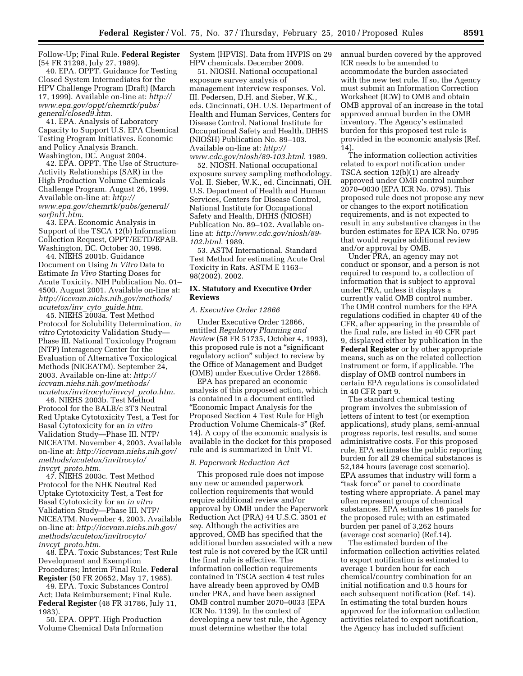Follow-Up; Final Rule. **Federal Register**  (54 FR 31298, July 27, 1989).

40. EPA. OPPT. Guidance for Testing Closed System Intermediates for the HPV Challenge Program (Draft) (March 17, 1999). Available on-line at: *http:// www.epa.gov/oppt/chemrtk/pubs/ general/closed9.htm*.

41. EPA. Analysis of Laboratory Capacity to Support U.S. EPA Chemical Testing Program Initiatives. Economic and Policy Analysis Branch. Washington, DC. August 2004.

42. EPA. OPPT. The Use of Structure-Activity Relationships (SAR) in the High Production Volume Chemicals Challenge Program. August 26, 1999. Available on-line at: *http:// www.epa.gov/chemrtk/pubs/general/ sarfinl1.htm*.

43. EPA. Economic Analysis in Support of the TSCA 12(b) Information Collection Request, OPPT/EETD/EPAB. Washington, DC. October 30, 1998.

44. NIEHS 2001b. Guidance Document on Using *In Vitro* Data to Estimate *In Vivo* Starting Doses for Acute Toxicity. NIH Publication No. 01– 4500. August 2001. Available on-line at: *http://iccvam.niehs.nih.gov/methods/ acutetox/inv*\_*cyto*\_*guide.htm*.

45. NIEHS 2003a. Test Method Protocol for Solubility Determination, *in vitro* Cytotoxicity Validation Study— Phase III. National Toxicology Program (NTP) Interagency Center for the Evaluation of Alternative Toxicological Methods (NICEATM). September 24, 2003. Available on-line at: *http:// iccvam.niehs.nih.gov/methods/ acutetox/invitrocyto/invcyt*\_*proto.htm*.

46. NIEHS 2003b. Test Method Protocol for the BALB/c 3T3 Neutral Red Uptake Cytotoxicity Test, a Test for Basal Cytotoxicity for an *in vitro*  Validation Study—Phase III. NTP/ NICEATM. November 4, 2003. Available on-line at: *http://iccvam.niehs.nih.gov/ methods/acutetox/invitrocyto/ invcyt*\_*proto.htm*.

47. NIEHS 2003c. Test Method Protocol for the NHK Neutral Red Uptake Cytotoxicity Test, a Test for Basal Cytotoxicity for an *in vitro*  Validation Study—Phase III. NTP/ NICEATM. November 4, 2003. Available on-line at: *http://iccvam.niehs.nih.gov/ methods/acutetox/invitrocyto/ invcyt*\_*proto.htm*.

48. EPA. Toxic Substances; Test Rule Development and Exemption Procedures; Interim Final Rule. **Federal Register** (50 FR 20652, May 17, 1985).

49. EPA. Toxic Substances Control Act; Data Reimbursement; Final Rule. **Federal Register** (48 FR 31786, July 11, 1983)

50. EPA. OPPT. High Production Volume Chemical Data Information System (HPVIS). Data from HVPIS on 29 HPV chemicals. December 2009.

51. NIOSH. National occupational exposure survey analysis of management interview responses. Vol. III. Pedersen, D.H. and Sieber, W.K., eds. Cincinnati, OH. U.S. Department of Health and Human Services, Centers for Disease Control, National Institute for Occupational Safety and Health, DHHS (NIOSH) Publication No. 89–103. Available on-line at: *http:// www.cdc.gov/niosh/89-103.html*. 1989.

52. NIOSH. National occupational exposure survey sampling methodology. Vol. II. Sieber, W.K., ed. Cincinnati, OH. U.S. Department of Health and Human Services, Centers for Disease Control, National Institute for Occupational Safety and Health, DHHS (NIOSH) Publication No. 89–102. Available online at: *http://www.cdc.gov/niosh/89- 102.html*. 1989.

53. ASTM International. Standard Test Method for estimating Acute Oral Toxicity in Rats. ASTM E 1163– 98(2002). 2002.

# **IX. Statutory and Executive Order Reviews**

#### *A. Executive Order 12866*

Under Executive Order 12866, entitled *Regulatory Planning and Review* (58 FR 51735, October 4, 1993), this proposed rule is not a ''significant regulatory action'' subject to review by the Office of Management and Budget (OMB) under Executive Order 12866.

EPA has prepared an economic analysis of this proposed action, which is contained in a document entitled ''Economic Impact Analysis for the Proposed Section 4 Test Rule for High Production Volume Chemicals-3'' (Ref. 14). A copy of the economic analysis is available in the docket for this proposed rule and is summarized in Unit VI.

#### *B. Paperwork Reduction Act*

This proposed rule does not impose any new or amended paperwork collection requirements that would require additional review and/or approval by OMB under the Paperwork Reduction Act (PRA) 44 U.S.C. 3501 *et seq*. Although the activities are approved, OMB has specified that the additional burden associated with a new test rule is not covered by the ICR until the final rule is effective. The information collection requirements contained in TSCA section 4 test rules have already been approved by OMB under PRA, and have been assigned OMB control number 2070–0033 (EPA ICR No. 1139). In the context of developing a new test rule, the Agency must determine whether the total

annual burden covered by the approved ICR needs to be amended to accommodate the burden associated with the new test rule. If so, the Agency must submit an Information Correction Worksheet (ICW) to OMB and obtain OMB approval of an increase in the total approved annual burden in the OMB inventory. The Agency's estimated burden for this proposed test rule is provided in the economic analysis (Ref. 14)

The information collection activities related to export notification under TSCA section 12(b)(1) are already approved under OMB control number 2070–0030 (EPA ICR No. 0795). This proposed rule does not propose any new or changes to the export notification requirements, and is not expected to result in any substantive changes in the burden estimates for EPA ICR No. 0795 that would require additional review and/or approval by OMB.

Under PRA, an agency may not conduct or sponsor, and a person is not required to respond to, a collection of information that is subject to approval under PRA, unless it displays a currently valid OMB control number. The OMB control numbers for the EPA regulations codified in chapter 40 of the CFR, after appearing in the preamble of the final rule, are listed in 40 CFR part 9, displayed either by publication in the **Federal Register** or by other appropriate means, such as on the related collection instrument or form, if applicable. The display of OMB control numbers in certain EPA regulations is consolidated in 40 CFR part 9.

The standard chemical testing program involves the submission of letters of intent to test (or exemption applications), study plans, semi-annual progress reports, test results, and some administrative costs. For this proposed rule, EPA estimates the public reporting burden for all 29 chemical substances is 52,184 hours (average cost scenario). EPA assumes that industry will form a ''task force'' or panel to coordinate testing where appropriate. A panel may often represent groups of chemical substances. EPA estimates 16 panels for the proposed rule; with an estimated burden per panel of 3,262 hours (average cost scenario) (Ref.14).

The estimated burden of the information collection activities related to export notification is estimated to average 1 burden hour for each chemical/country combination for an initial notification and 0.5 hours for each subsequent notification (Ref. 14). In estimating the total burden hours approved for the information collection activities related to export notification, the Agency has included sufficient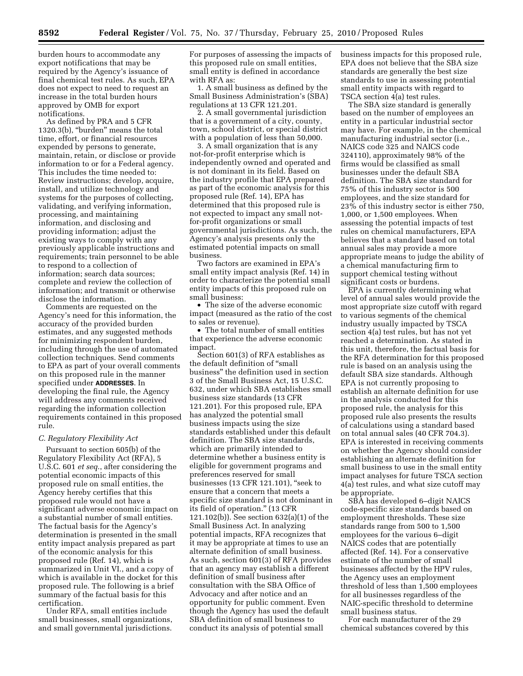burden hours to accommodate any export notifications that may be required by the Agency's issuance of final chemical test rules. As such, EPA does not expect to need to request an increase in the total burden hours approved by OMB for export notifications.

As defined by PRA and 5 CFR 1320.3(b), "burden" means the total time, effort, or financial resources expended by persons to generate, maintain, retain, or disclose or provide information to or for a Federal agency. This includes the time needed to: Review instructions; develop, acquire, install, and utilize technology and systems for the purposes of collecting, validating, and verifying information, processing, and maintaining information, and disclosing and providing information; adjust the existing ways to comply with any previously applicable instructions and requirements; train personnel to be able to respond to a collection of information; search data sources; complete and review the collection of information; and transmit or otherwise disclose the information.

Comments are requested on the Agency's need for this information, the accuracy of the provided burden estimates, and any suggested methods for minimizing respondent burden, including through the use of automated collection techniques. Send comments to EPA as part of your overall comments on this proposed rule in the manner specified under **ADDRESSES**. In developing the final rule, the Agency will address any comments received regarding the information collection requirements contained in this proposed rule.

#### *C. Regulatory Flexibility Act*

Pursuant to section 605(b) of the Regulatory Flexibility Act (RFA), 5 U.S.C. 601 *et seq*., after considering the potential economic impacts of this proposed rule on small entities, the Agency hereby certifies that this proposed rule would not have a significant adverse economic impact on a substantial number of small entities. The factual basis for the Agency's determination is presented in the small entity impact analysis prepared as part of the economic analysis for this proposed rule (Ref. 14), which is summarized in Unit VI., and a copy of which is available in the docket for this proposed rule. The following is a brief summary of the factual basis for this certification.

Under RFA, small entities include small businesses, small organizations, and small governmental jurisdictions.

For purposes of assessing the impacts of this proposed rule on small entities, small entity is defined in accordance with RFA as:

1. A small business as defined by the Small Business Administration's (SBA) regulations at 13 CFR 121.201.

2. A small governmental jurisdiction that is a government of a city, county, town, school district, or special district with a population of less than 50.000.

3. A small organization that is any not-for-profit enterprise which is independently owned and operated and is not dominant in its field. Based on the industry profile that EPA prepared as part of the economic analysis for this proposed rule (Ref. 14), EPA has determined that this proposed rule is not expected to impact any small notfor-profit organizations or small governmental jurisdictions. As such, the Agency's analysis presents only the estimated potential impacts on small business.

Two factors are examined in EPA's small entity impact analysis (Ref. 14) in order to characterize the potential small entity impacts of this proposed rule on small business:

• The size of the adverse economic impact (measured as the ratio of the cost to sales or revenue).

• The total number of small entities that experience the adverse economic impact.

Section 601(3) of RFA establishes as the default definition of ''small business'' the definition used in section 3 of the Small Business Act, 15 U.S.C. 632, under which SBA establishes small business size standards (13 CFR 121.201). For this proposed rule, EPA has analyzed the potential small business impacts using the size standards established under this default definition. The SBA size standards, which are primarily intended to determine whether a business entity is eligible for government programs and preferences reserved for small businesses (13 CFR 121.101), ''seek to ensure that a concern that meets a specific size standard is not dominant in its field of operation.'' (13 CFR 121.102(b)). See section 632(a)(1) of the Small Business Act. In analyzing potential impacts, RFA recognizes that it may be appropriate at times to use an alternate definition of small business. As such, section 601(3) of RFA provides that an agency may establish a different definition of small business after consultation with the SBA Office of Advocacy and after notice and an opportunity for public comment. Even though the Agency has used the default SBA definition of small business to conduct its analysis of potential small

business impacts for this proposed rule, EPA does not believe that the SBA size standards are generally the best size standards to use in assessing potential small entity impacts with regard to TSCA section 4(a) test rules.

The SBA size standard is generally based on the number of employees an entity in a particular industrial sector may have. For example, in the chemical manufacturing industrial sector (i.e., NAICS code 325 and NAICS code 324110), approximately 98% of the firms would be classified as small businesses under the default SBA definition. The SBA size standard for 75% of this industry sector is 500 employees, and the size standard for 23% of this industry sector is either 750, 1,000, or 1,500 employees. When assessing the potential impacts of test rules on chemical manufacturers, EPA believes that a standard based on total annual sales may provide a more appropriate means to judge the ability of a chemical manufacturing firm to support chemical testing without significant costs or burdens.

EPA is currently determining what level of annual sales would provide the most appropriate size cutoff with regard to various segments of the chemical industry usually impacted by TSCA section 4(a) test rules, but has not yet reached a determination. As stated in this unit, therefore, the factual basis for the RFA determination for this proposed rule is based on an analysis using the default SBA size standards. Although EPA is not currently proposing to establish an alternate definition for use in the analysis conducted for this proposed rule, the analysis for this proposed rule also presents the results of calculations using a standard based on total annual sales (40 CFR 704.3). EPA is interested in receiving comments on whether the Agency should consider establishing an alternate definition for small business to use in the small entity impact analyses for future TSCA section 4(a) test rules, and what size cutoff may be appropriate.

SBA has developed 6–digit NAICS code-specific size standards based on employment thresholds. These size standards range from 500 to 1,500 employees for the various 6–digit NAICS codes that are potentially affected (Ref. 14). For a conservative estimate of the number of small businesses affected by the HPV rules, the Agency uses an employment threshold of less than 1,500 employees for all businesses regardless of the NAIC-specific threshold to determine small business status.

For each manufacturer of the 29 chemical substances covered by this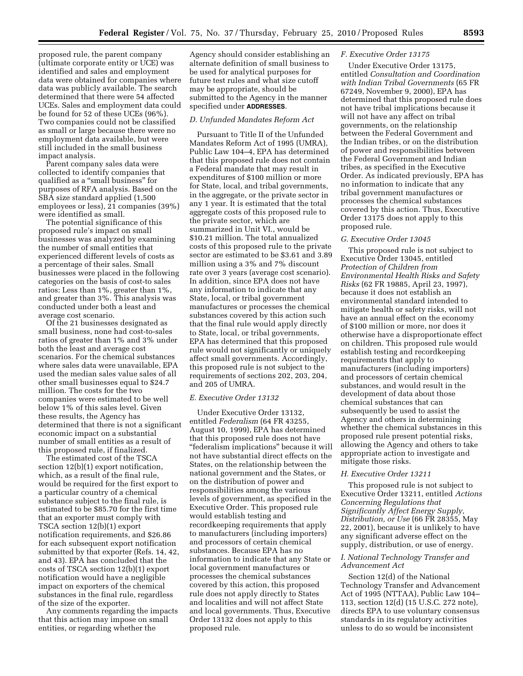proposed rule, the parent company (ultimate corporate entity or UCE) was identified and sales and employment data were obtained for companies where data was publicly available. The search determined that there were 54 affected UCEs. Sales and employment data could be found for 52 of these UCEs (96%). Two companies could not be classified as small or large because there were no employment data available, but were still included in the small business impact analysis.

Parent company sales data were collected to identify companies that qualified as a ''small business'' for purposes of RFA analysis. Based on the SBA size standard applied (1,500 employees or less), 21 companies (39%) were identified as small.

The potential significance of this proposed rule's impact on small businesses was analyzed by examining the number of small entities that experienced different levels of costs as a percentage of their sales. Small businesses were placed in the following categories on the basis of cost-to sales ratios: Less than 1%, greater than 1%, and greater than 3%. This analysis was conducted under both a least and average cost scenario.

Of the 21 businesses designated as small business, none had cost-to-sales ratios of greater than 1% and 3% under both the least and average cost scenarios. For the chemical substances where sales data were unavailable, EPA used the median sales value sales of all other small businesses equal to \$24.7 million. The costs for the two companies were estimated to be well below 1% of this sales level. Given these results, the Agency has determined that there is not a significant economic impact on a substantial number of small entities as a result of this proposed rule, if finalized.

The estimated cost of the TSCA section 12(b)(1) export notification, which, as a result of the final rule, would be required for the first export to a particular country of a chemical substance subject to the final rule, is estimated to be \$85.70 for the first time that an exporter must comply with TSCA section 12(b)(1) export notification requirements, and \$26.86 for each subsequent export notification submitted by that exporter (Refs. 14, 42, and 43). EPA has concluded that the costs of TSCA section 12(b)(1) export notification would have a negligible impact on exporters of the chemical substances in the final rule, regardless of the size of the exporter.

Any comments regarding the impacts that this action may impose on small entities, or regarding whether the

Agency should consider establishing an alternate definition of small business to be used for analytical purposes for future test rules and what size cutoff may be appropriate, should be submitted to the Agency in the manner specified under **ADDRESSES**.

## *D. Unfunded Mandates Reform Act*

Pursuant to Title II of the Unfunded Mandates Reform Act of 1995 (UMRA), Public Law 104–4, EPA has determined that this proposed rule does not contain a Federal mandate that may result in expenditures of \$100 million or more for State, local, and tribal governments, in the aggregate, or the private sector in any 1 year. It is estimated that the total aggregate costs of this proposed rule to the private sector, which are summarized in Unit VI., would be \$10.21 million. The total annualized costs of this proposed rule to the private sector are estimated to be \$3.61 and 3.89 million using a 3% and 7% discount rate over 3 years (average cost scenario). In addition, since EPA does not have any information to indicate that any State, local, or tribal government manufactures or processes the chemical substances covered by this action such that the final rule would apply directly to State, local, or tribal governments, EPA has determined that this proposed rule would not significantly or uniquely affect small governments. Accordingly, this proposed rule is not subject to the requirements of sections 202, 203, 204, and 205 of UMRA.

### *E. Executive Order 13132*

Under Executive Order 13132, entitled *Federalism* (64 FR 43255, August 10, 1999), EPA has determined that this proposed rule does not have ''federalism implications'' because it will not have substantial direct effects on the States, on the relationship between the national government and the States, or on the distribution of power and responsibilities among the various levels of government, as specified in the Executive Order. This proposed rule would establish testing and recordkeeping requirements that apply to manufacturers (including importers) and processors of certain chemical substances. Because EPA has no information to indicate that any State or local government manufactures or processes the chemical substances covered by this action, this proposed rule does not apply directly to States and localities and will not affect State and local governments. Thus, Executive Order 13132 does not apply to this proposed rule.

#### *F. Executive Order 13175*

Under Executive Order 13175, entitled *Consultation and Coordination with Indian Tribal Governments* (65 FR 67249, November 9, 2000), EPA has determined that this proposed rule does not have tribal implications because it will not have any affect on tribal governments, on the relationship between the Federal Government and the Indian tribes, or on the distribution of power and responsibilities between the Federal Government and Indian tribes, as specified in the Executive Order. As indicated previously, EPA has no information to indicate that any tribal government manufactures or processes the chemical substances covered by this action. Thus, Executive Order 13175 does not apply to this proposed rule.

#### *G. Executive Order 13045*

This proposed rule is not subject to Executive Order 13045, entitled *Protection of Children from Environmental Health Risks and Safety Risks* (62 FR 19885, April 23, 1997), because it does not establish an environmental standard intended to mitigate health or safety risks, will not have an annual effect on the economy of \$100 million or more, nor does it otherwise have a disproportionate effect on children. This proposed rule would establish testing and recordkeeping requirements that apply to manufacturers (including importers) and processors of certain chemical substances, and would result in the development of data about those chemical substances that can subsequently be used to assist the Agency and others in determining whether the chemical substances in this proposed rule present potential risks, allowing the Agency and others to take appropriate action to investigate and mitigate those risks.

#### *H. Executive Order 13211*

This proposed rule is not subject to Executive Order 13211, entitled *Actions Concerning Regulations that Significantly Affect Energy Supply, Distribution, or Use* (66 FR 28355, May 22, 2001), because it is unlikely to have any significant adverse effect on the supply, distribution, or use of energy.

## *I. National Technology Transfer and Advancement Act*

Section 12(d) of the National Technology Transfer and Advancement Act of 1995 (NTTAA), Public Law 104– 113, section 12(d) (15 U.S.C. 272 note), directs EPA to use voluntary consensus standards in its regulatory activities unless to do so would be inconsistent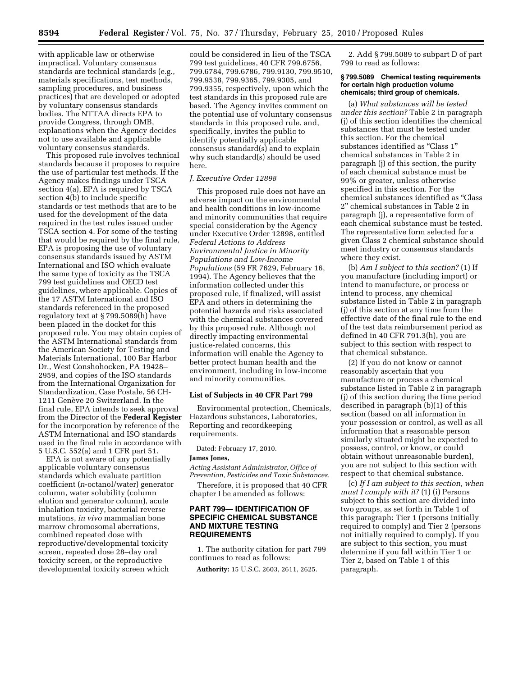with applicable law or otherwise impractical. Voluntary consensus standards are technical standards (e.g., materials specifications, test methods, sampling procedures, and business practices) that are developed or adopted by voluntary consensus standards bodies. The NTTAA directs EPA to provide Congress, through OMB, explanations when the Agency decides not to use available and applicable voluntary consensus standards.

This proposed rule involves technical standards because it proposes to require the use of particular test methods. If the Agency makes findings under TSCA section 4(a), EPA is required by TSCA section 4(b) to include specific standards or test methods that are to be used for the development of the data required in the test rules issued under TSCA section 4. For some of the testing that would be required by the final rule, EPA is proposing the use of voluntary consensus standards issued by ASTM International and ISO which evaluate the same type of toxicity as the TSCA 799 test guidelines and OECD test guidelines, where applicable. Copies of the 17 ASTM International and ISO standards referenced in the proposed regulatory text at § 799.5089(h) have been placed in the docket for this proposed rule. You may obtain copies of the ASTM International standards from the American Society for Testing and Materials International, 100 Bar Harbor Dr., West Conshohocken, PA 19428– 2959, and copies of the ISO standards from the International Organization for Standardization, Case Postale, 56 CH-1211 Genève 20 Switzerland. In the final rule, EPA intends to seek approval from the Director of the **Federal Register**  for the incorporation by reference of the ASTM International and ISO standards used in the final rule in accordance with 5 U.S.C. 552(a) and 1 CFR part 51.

EPA is not aware of any potentially applicable voluntary consensus standards which evaluate partition coefficient (*n*-octanol/water) generator column, water solubility (column elution and generator column), acute inhalation toxicity, bacterial reverse mutations, *in vivo* mammalian bone marrow chromosomal aberrations, combined repeated dose with reproductive/developmental toxicity screen, repeated dose 28–day oral toxicity screen, or the reproductive developmental toxicity screen which

could be considered in lieu of the TSCA 799 test guidelines, 40 CFR 799.6756, 799.6784, 799.6786, 799.9130, 799.9510, 799.9538, 799.9365, 799.9305, and 799.9355, respectively, upon which the test standards in this proposed rule are based. The Agency invites comment on the potential use of voluntary consensus standards in this proposed rule, and, specifically, invites the public to identify potentially applicable consensus standard(s) and to explain why such standard(s) should be used here.

### *J. Executive Order 12898*

This proposed rule does not have an adverse impact on the environmental and health conditions in low-income and minority communities that require special consideration by the Agency under Executive Order 12898, entitled *Federal Actions to Address Environmental Justice in Minority Populations and Low-Income Populations* (59 FR 7629, February 16, 1994). The Agency believes that the information collected under this proposed rule, if finalized, will assist EPA and others in determining the potential hazards and risks associated with the chemical substances covered by this proposed rule. Although not directly impacting environmental justice-related concerns, this information will enable the Agency to better protect human health and the environment, including in low-income and minority communities.

# **List of Subjects in 40 CFR Part 799**

Environmental protection, Chemicals, Hazardous substances, Laboratories, Reporting and recordkeeping requirements.

# Dated: February 17, 2010.

#### **James Jones,**

*Acting Assistant Administrator, Office of Prevention, Pesticides and Toxic Substances.* 

Therefore, it is proposed that 40 CFR chapter I be amended as follows:

### **PART 799— IDENTIFICATION OF SPECIFIC CHEMICAL SUBSTANCE AND MIXTURE TESTING REQUIREMENTS**

1. The authority citation for part 799 continues to read as follows:

**Authority:** 15 U.S.C. 2603, 2611, 2625.

2. Add § 799.5089 to subpart D of part 799 to read as follows:

#### **§ 799.5089 Chemical testing requirements for certain high production volume chemicals; third group of chemicals.**

(a) *What substances will be tested under this section?* Table 2 in paragraph (j) of this section identifies the chemical substances that must be tested under this section. For the chemical substances identified as "Class 1" chemical substances in Table 2 in paragraph (j) of this section, the purity of each chemical substance must be 99% or greater, unless otherwise specified in this section. For the chemical substances identified as ''Class 2'' chemical substances in Table 2 in paragraph (j), a representative form of each chemical substance must be tested. The representative form selected for a given Class 2 chemical substance should meet industry or consensus standards where they exist.

(b) *Am I subject to this section?* (1) If you manufacture (including import) or intend to manufacture, or process or intend to process, any chemical substance listed in Table 2 in paragraph (j) of this section at any time from the effective date of the final rule to the end of the test data reimbursement period as defined in 40 CFR 791.3(h), you are subject to this section with respect to that chemical substance.

(2) If you do not know or cannot reasonably ascertain that you manufacture or process a chemical substance listed in Table 2 in paragraph (j) of this section during the time period described in paragraph (b)(1) of this section (based on all information in your possession or control, as well as all information that a reasonable person similarly situated might be expected to possess, control, or know, or could obtain without unreasonable burden), you are not subject to this section with respect to that chemical substance.

(c) *If I am subject to this section, when must I comply with it?* (1) (i) Persons subject to this section are divided into two groups, as set forth in Table 1 of this paragraph: Tier 1 (persons initially required to comply) and Tier 2 (persons not initially required to comply). If you are subject to this section, you must determine if you fall within Tier 1 or Tier 2, based on Table 1 of this paragraph.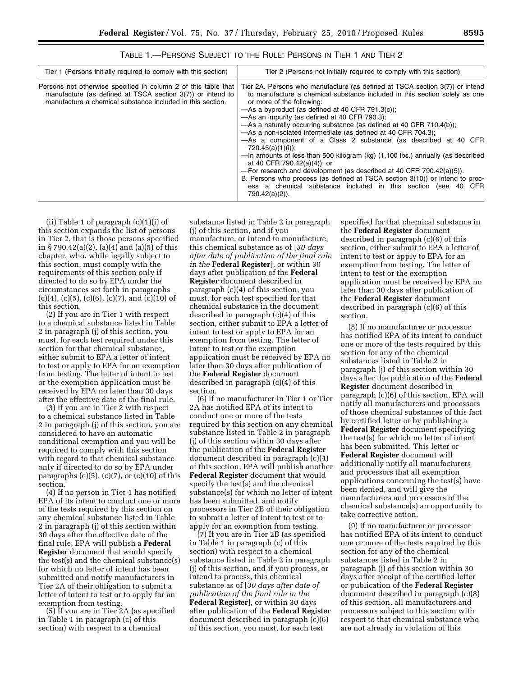| ۰.<br>×<br>۰, | ٧ | × |
|---------------|---|---|
|---------------|---|---|

| Tier 1 (Persons initially required to comply with this section)                                                                                                                            | Tier 2 (Persons not initially required to comply with this section)                                                                                                                                                                                                                                                                                                                                                                                                                                                                                                                                                                                                                                                                                                                                                                                                                             |
|--------------------------------------------------------------------------------------------------------------------------------------------------------------------------------------------|-------------------------------------------------------------------------------------------------------------------------------------------------------------------------------------------------------------------------------------------------------------------------------------------------------------------------------------------------------------------------------------------------------------------------------------------------------------------------------------------------------------------------------------------------------------------------------------------------------------------------------------------------------------------------------------------------------------------------------------------------------------------------------------------------------------------------------------------------------------------------------------------------|
| Persons not otherwise specified in column 2 of this table that<br>manufacture (as defined at TSCA section 3(7)) or intend to<br>manufacture a chemical substance included in this section. | Tier 2A. Persons who manufacture (as defined at TSCA section 3(7)) or intend<br>to manufacture a chemical substance included in this section solely as one<br>or more of the following:<br>—As a byproduct (as defined at 40 CFR 791.3(c));<br>-As an impurity (as defined at 40 CFR 790.3);<br>$-$ As a naturally occurring substance (as defined at 40 CFR 710.4(b));<br>-As a non-isolated intermediate (as defined at 40 CFR 704.3);<br>-As a component of a Class 2 substance (as described at 40 CFR<br>$720.45(a)(1)(i)$ ;<br>—In amounts of less than 500 kilogram (kg) $(1,100$ lbs.) annually (as described<br>at 40 CFR 790.42(a)(4)); or<br>-For research and development (as described at 40 CFR 790.42(a)(5)).<br>B. Persons who process (as defined at TSCA section 3(10)) or intend to proc-<br>ess a chemical substance included in this section (see 40 CFR<br>790.42(a)(2)). |

TABLE 1.—PERSONS SUBJECT TO THE RULE: PERSONS IN TIER 1 AND TIER 2

(ii) Table 1 of paragraph (c)(1)(i) of this section expands the list of persons in Tier 2, that is those persons specified in § 790.42(a)(2), (a)(4) and (a)(5) of this chapter, who, while legally subject to this section, must comply with the requirements of this section only if directed to do so by EPA under the circumstances set forth in paragraphs  $(c)(4)$ ,  $(c)(5)$ ,  $(c)(6)$ ,  $(c)(7)$ , and  $(c)(10)$  of this section.

(2) If you are in Tier 1 with respect to a chemical substance listed in Table 2 in paragraph (j) of this section, you must, for each test required under this section for that chemical substance, either submit to EPA a letter of intent to test or apply to EPA for an exemption from testing. The letter of intent to test or the exemption application must be received by EPA no later than 30 days after the effective date of the final rule.

(3) If you are in Tier 2 with respect to a chemical substance listed in Table 2 in paragraph (j) of this section, you are considered to have an automatic conditional exemption and you will be required to comply with this section with regard to that chemical substance only if directed to do so by EPA under paragraphs  $(c)(5)$ ,  $(c)(7)$ , or  $(c)(10)$  of this section.

(4) If no person in Tier 1 has notified EPA of its intent to conduct one or more of the tests required by this section on any chemical substance listed in Table 2 in paragraph (j) of this section within 30 days after the effective date of the final rule, EPA will publish a **Federal Register** document that would specify the test(s) and the chemical substance(s) for which no letter of intent has been submitted and notify manufacturers in Tier 2A of their obligation to submit a letter of intent to test or to apply for an exemption from testing.

(5) If you are in Tier 2A (as specified in Table 1 in paragraph (c) of this section) with respect to a chemical

substance listed in Table 2 in paragraph (j) of this section, and if you manufacture, or intend to manufacture, this chemical substance as of [*30 days after date of publication of the final rule in the* **Federal Register**], or within 30 days after publication of the **Federal Register** document described in paragraph (c)(4) of this section, you must, for each test specified for that chemical substance in the document described in paragraph (c)(4) of this section, either submit to EPA a letter of intent to test or apply to EPA for an exemption from testing. The letter of intent to test or the exemption application must be received by EPA no later than 30 days after publication of the **Federal Register** document described in paragraph (c)(4) of this section.

(6) If no manufacturer in Tier 1 or Tier 2A has notified EPA of its intent to conduct one or more of the tests required by this section on any chemical substance listed in Table 2 in paragraph (j) of this section within 30 days after the publication of the **Federal Register**  document described in paragraph (c)(4) of this section, EPA will publish another **Federal Register** document that would specify the test(s) and the chemical substance(s) for which no letter of intent has been submitted, and notify processors in Tier 2B of their obligation to submit a letter of intent to test or to apply for an exemption from testing.

(7) If you are in Tier 2B (as specified in Table 1 in paragraph (c) of this section) with respect to a chemical substance listed in Table 2 in paragraph (j) of this section, and if you process, or intend to process, this chemical substance as of [*30 days after date of publication of the final rule in the*  **Federal Register**], or within 30 days after publication of the **Federal Register**  document described in paragraph (c)(6) of this section, you must, for each test

specified for that chemical substance in the **Federal Register** document described in paragraph (c)(6) of this section, either submit to EPA a letter of intent to test or apply to EPA for an exemption from testing. The letter of intent to test or the exemption application must be received by EPA no later than 30 days after publication of the **Federal Register** document described in paragraph (c)(6) of this section.

(8) If no manufacturer or processor has notified EPA of its intent to conduct one or more of the tests required by this section for any of the chemical substances listed in Table 2 in paragraph (j) of this section within 30 days after the publication of the **Federal Register** document described in paragraph (c)(6) of this section, EPA will notify all manufacturers and processors of those chemical substances of this fact by certified letter or by publishing a **Federal Register** document specifying the test(s) for which no letter of intent has been submitted. This letter or **Federal Register** document will additionally notify all manufacturers and processors that all exemption applications concerning the test(s) have been denied, and will give the manufacturers and processors of the chemical substance(s) an opportunity to take corrective action.

(9) If no manufacturer or processor has notified EPA of its intent to conduct one or more of the tests required by this section for any of the chemical substances listed in Table 2 in paragraph (j) of this section within 30 days after receipt of the certified letter or publication of the **Federal Register**  document described in paragraph (c)(8) of this section, all manufacturers and processors subject to this section with respect to that chemical substance who are not already in violation of this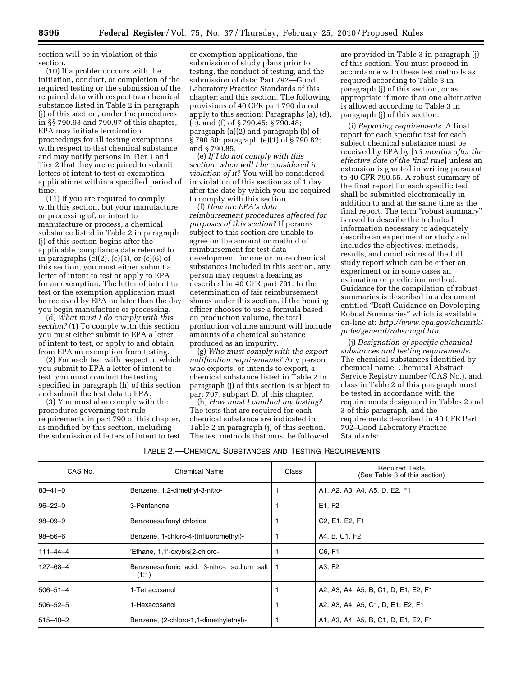section will be in violation of this section.

(10) If a problem occurs with the initiation, conduct, or completion of the required testing or the submission of the required data with respect to a chemical substance listed in Table 2 in paragraph (j) of this section, under the procedures in §§ 790.93 and 790.97 of this chapter, EPA may initiate termination proceedings for all testing exemptions with respect to that chemical substance and may notify persons in Tier 1 and Tier 2 that they are required to submit letters of intent to test or exemption applications within a specified period of time.

(11) If you are required to comply with this section, but your manufacture or processing of, or intent to manufacture or process, a chemical substance listed in Table 2 in paragraph (j) of this section begins after the applicable compliance date referred to in paragraphs  $(c)(2)$ ,  $(c)(5)$ , or  $(c)(6)$  of this section, you must either submit a letter of intent to test or apply to EPA for an exemption. The letter of intent to test or the exemption application must be received by EPA no later than the day you begin manufacture or processing.

(d) *What must I do comply with this section?* (1) To comply with this section you must either submit to EPA a letter of intent to test, or apply to and obtain from EPA an exemption from testing.

(2) For each test with respect to which you submit to EPA a letter of intent to test, you must conduct the testing specified in paragraph (h) of this section and submit the test data to EPA.

(3) You must also comply with the procedures governing test rule requirements in part 790 of this chapter, as modified by this section, including the submission of letters of intent to test

or exemption applications, the submission of study plans prior to testing, the conduct of testing, and the submission of data; Part 792—Good Laboratory Practice Standards of this chapter; and this section. The following provisions of 40 CFR part 790 do not apply to this section: Paragraphs (a), (d), (e), and (f) of § 790.45; § 790.48; paragraph (a)(2) and paragraph (b) of § 790.80; paragraph (e)(1) of § 790.82; and § 790.85.

(e) *If I do not comply with this section, when will I be considered in violation of it?* You will be considered in violation of this section as of 1 day after the date by which you are required to comply with this section.

(f) *How are EPA's data reimbursement procedures affected for purposes of this section?* If persons subject to this section are unable to agree on the amount or method of reimbursement for test data development for one or more chemical substances included in this section, any person may request a hearing as described in 40 CFR part 791. In the determination of fair reimbursement shares under this section, if the hearing officer chooses to use a formula based on production volume, the total production volume amount will include amounts of a chemical substance produced as an impurity.

(g) *Who must comply with the export notification requirements?* Any person who exports, or intends to export, a chemical substance listed in Table 2 in paragraph (j) of this section is subject to part 707, subpart D, of this chapter.

(h) *How must I conduct my testing?*  The tests that are required for each chemical substance are indicated in Table 2 in paragraph (j) of this section. The test methods that must be followed

are provided in Table 3 in paragraph (j) of this section. You must proceed in accordance with these test methods as required according to Table 3 in paragraph (j) of this section, or as appropriate if more than one alternative is allowed according to Table 3 in paragraph (j) of this section.

(i) *Reporting requirements*. A final report for each specific test for each subject chemical substance must be received by EPA by [*13 months after the effective date of the final rule*] unless an extension is granted in writing pursuant to 40 CFR 790.55. A robust summary of the final report for each specific test shall be submitted electronically in addition to and at the same time as the final report. The term "robust summary" is used to describe the technical information necessary to adequately describe an experiment or study and includes the objectives, methods, results, and conclusions of the full study report which can be either an experiment or in some cases an estimation or prediction method. Guidance for the compilation of robust summaries is described in a document entitled ''Draft Guidance on Developing Robust Summaries'' which is available on-line at: *http://www.epa.gov/chemrtk/ pubs/general/robsumgd.htm*.

(j) *Designation of specific chemical substances and testing requirements*. The chemical substances identified by chemical name, Chemical Abstract Service Registry number (CAS No.), and class in Table 2 of this paragraph must be tested in accordance with the requirements designated in Tables 2 and 3 of this paragraph, and the requirements described in 40 CFR Part 792–Good Laboratory Practice Standards:

| TABLE 2.—CHEMICAL SUBSTANCES AND TESTING REQUIREMENTS |
|-------------------------------------------------------|
|-------------------------------------------------------|

| CAS No.        | <b>Chemical Name</b>                                 | Class | <b>Required Tests</b><br>(See Table 3 of this section)            |
|----------------|------------------------------------------------------|-------|-------------------------------------------------------------------|
| $83 - 41 - 0$  | Benzene, 1,2-dimethyl-3-nitro-                       |       | A1, A2, A3, A4, A5, D, E2, F1                                     |
| $96 - 22 - 0$  | 3-Pentanone                                          |       | E1, F2                                                            |
| $98 - 09 - 9$  | Benzenesulfonyl chloride                             |       | C <sub>2</sub> , E <sub>1</sub> , E <sub>2</sub> , F <sub>1</sub> |
| $98 - 56 - 6$  | Benzene, 1-chloro-4-(trifluoromethyl)-               |       | A4, B, C1, F2                                                     |
| $111 - 44 - 4$ | 'Ethane, 1,1'-oxybis[2-chloro-                       |       | C6, F1                                                            |
| $127 - 68 - 4$ | Benzenesulfonic acid, 3-nitro-, sodium salt<br>(1:1) | -1    | A3, F2                                                            |
| $506 - 51 - 4$ | 1-Tetracosanol                                       |       | A2, A3, A4, A5, B, C1, D, E1, E2, F1                              |
| $506 - 52 - 5$ | 1-Hexacosanol                                        |       | A2, A3, A4, A5, C1, D, E1, E2, F1                                 |
| $515 - 40 - 2$ | Benzene, (2-chloro-1,1-dimethylethyl)-               |       | A1, A3, A4, A5, B, C1, D, E1, E2, F1                              |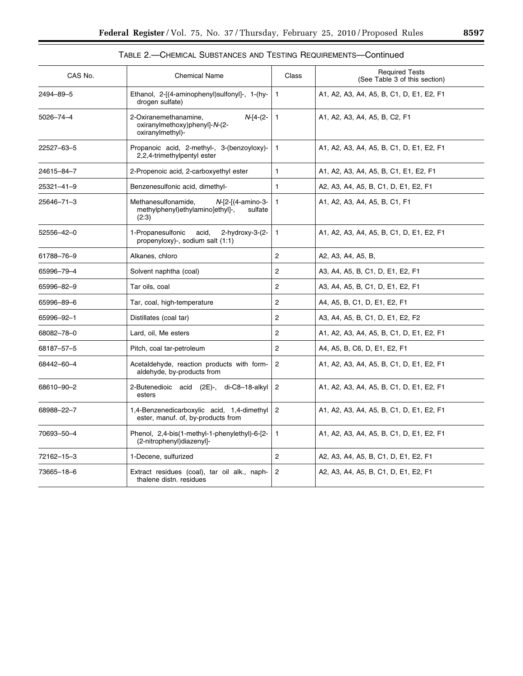| ۰<br>۰, |  | ٠ |
|---------|--|---|
|---------|--|---|

Ξ

| TABLE 2.—CHEMICAL SUBSTANCES AND TESTING REQUIREMENTS—Continued |  |
|-----------------------------------------------------------------|--|
|-----------------------------------------------------------------|--|

| CAS No.                            | <b>Chemical Name</b>                                                                                | Class          | <b>Required Tests</b><br>(See Table 3 of this section) |
|------------------------------------|-----------------------------------------------------------------------------------------------------|----------------|--------------------------------------------------------|
| 2494-89-5                          | Ethanol, 2-[(4-aminophenyl) sulfonyl]-, 1-(hy-<br>drogen sulfate)                                   | 1              | A1, A2, A3, A4, A5, B, C1, D, E1, E2, F1               |
| $5026 - 74 - 4$                    | 2-Oxiranemethanamine,<br>$N-[4-(2-$<br>oxiranylmethoxy)phenyl]-N-(2-<br>oxiranylmethyl)-            | $\mathbf{1}$   | A1, A2, A3, A4, A5, B, C2, F1                          |
| 22527-63-5                         | Propanoic acid, 2-methyl-, 3-(benzoyloxy)-<br>2,2,4-trimethylpentyl ester                           |                | A1, A2, A3, A4, A5, B, C1, D, E1, E2, F1               |
| 24615-84-7                         | 2-Propenoic acid, 2-carboxyethyl ester                                                              | 1              | A1, A2, A3, A4, A5, B, C1, E1, E2, F1                  |
| $25321 - 41 - 9$                   | Benzenesulfonic acid, dimethyl-                                                                     |                | A2, A3, A4, A5, B, C1, D, E1, E2, F1                   |
| 25646-71-3                         | Methanesulfonamide,<br>$N$ -[2-[(4-amino-3-<br>methylphenyl)ethylamino]ethyl]-,<br>sulfate<br>(2:3) |                | A1, A2, A3, A4, A5, B, C1, F1                          |
| 52556-42-0                         | 1-Propanesulfonic<br>acid,<br>$2$ -hydroxy-3- $(2-$<br>propenyloxy)-, sodium salt (1:1)             | 1              | A1, A2, A3, A4, A5, B, C1, D, E1, E2, F1               |
| 61788-76-9                         | Alkanes, chloro                                                                                     | 2              | A2, A3, A4, A5, B,                                     |
| 65996-79-4                         | Solvent naphtha (coal)                                                                              | 2              | A3, A4, A5, B, C1, D, E1, E2, F1                       |
| 65996-82-9                         | Tar oils, coal                                                                                      | 2              | A3, A4, A5, B, C1, D, E1, E2, F1                       |
| 65996-89-6                         | Tar, coal, high-temperature                                                                         | 2              | A4, A5, B, C1, D, E1, E2, F1                           |
| 65996-92-1                         | Distillates (coal tar)                                                                              | 2              | A3, A4, A5, B, C1, D, E1, E2, F2                       |
| 68082-78-0<br>Lard, oil, Me esters |                                                                                                     | 2              | A1, A2, A3, A4, A5, B, C1, D, E1, E2, F1               |
| 68187-57-5                         | Pitch, coal tar-petroleum                                                                           | 2              | A4, A5, B, C6, D, E1, E2, F1                           |
| 68442-60-4                         | Acetaldehyde, reaction products with form-<br>aldehyde, by-products from                            | $\overline{c}$ | A1, A2, A3, A4, A5, B, C1, D, E1, E2, F1               |
| 68610-90-2                         | 2-Butenedioic acid (2E)-, di-C8-18-alkyl<br>esters                                                  | $\overline{2}$ | A1, A2, A3, A4, A5, B, C1, D, E1, E2, F1               |
| 68988-22-7                         | 1,4-Benzenedicarboxylic acid, 1,4-dimethyl<br>ester, manuf. of, by-products from                    | 2              | A1, A2, A3, A4, A5, B, C1, D, E1, E2, F1               |
| 70693-50-4                         | Phenol, 2,4-bis(1-methyl-1-phenylethyl)-6-[2-<br>(2-nitrophenyl)diazenyl]-                          | 1              | A1, A2, A3, A4, A5, B, C1, D, E1, E2, F1               |
| 72162-15-3                         | 1-Decene, sulfurized                                                                                | $\overline{2}$ | A2, A3, A4, A5, B, C1, D, E1, E2, F1                   |
| 73665-18-6                         | Extract residues (coal), tar oil alk., naph-<br>thalene distn. residues                             | $\overline{2}$ | A2, A3, A4, A5, B, C1, D, E1, E2, F1                   |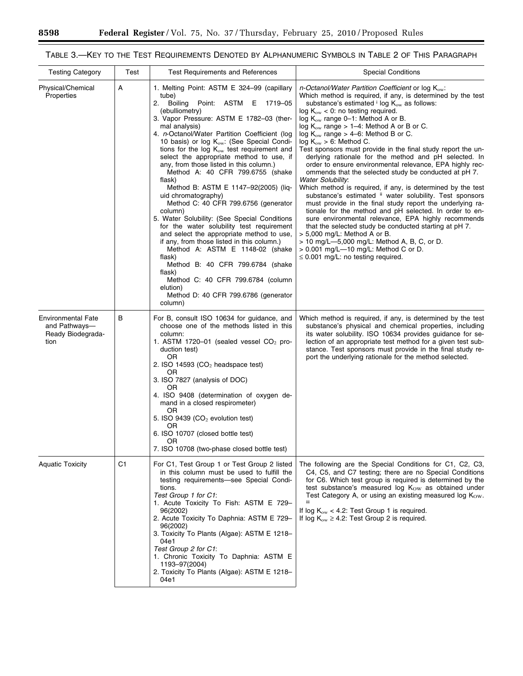Ξ

# TABLE 3.—KEY TO THE TEST REQUIREMENTS DENOTED BY ALPHANUMERIC SYMBOLS IN TABLE 2 OF THIS PARAGRAPH

۰

| <b>Testing Category</b>                                          | Test | <b>Test Requirements and References</b>                                                                                                                                                                                                                                                                                                                                                                                                                                                                                                                                                                                                                                                                                                                                                                                                                                                                                                                                                | <b>Special Conditions</b>                                                                                                                                                                                                                                                                                                                                                                                                                                                                                                                                                                                                                                                                                                                                                                                                                                                                                                                                                                                                                                                                                                                                                                                     |
|------------------------------------------------------------------|------|----------------------------------------------------------------------------------------------------------------------------------------------------------------------------------------------------------------------------------------------------------------------------------------------------------------------------------------------------------------------------------------------------------------------------------------------------------------------------------------------------------------------------------------------------------------------------------------------------------------------------------------------------------------------------------------------------------------------------------------------------------------------------------------------------------------------------------------------------------------------------------------------------------------------------------------------------------------------------------------|---------------------------------------------------------------------------------------------------------------------------------------------------------------------------------------------------------------------------------------------------------------------------------------------------------------------------------------------------------------------------------------------------------------------------------------------------------------------------------------------------------------------------------------------------------------------------------------------------------------------------------------------------------------------------------------------------------------------------------------------------------------------------------------------------------------------------------------------------------------------------------------------------------------------------------------------------------------------------------------------------------------------------------------------------------------------------------------------------------------------------------------------------------------------------------------------------------------|
| Physical/Chemical<br>Properties                                  | Α    | 1. Melting Point: ASTM E 324-99 (capillary<br>tube)<br>2. Boiling Point: ASTM<br>E 1719–05<br>(ebulliometry)<br>3. Vapor Pressure: ASTM E 1782-03 (ther-<br>mal analysis)<br>4. <i>n</i> -Octanol/Water Partition Coefficient (log<br>10 basis) or $log K_{ow}$ : (See Special Condi-<br>tions for the log $K_{ow}$ test requirement and<br>select the appropriate method to use, if<br>any, from those listed in this column.)<br>Method A: 40 CFR 799.6755 (shake<br>flask)<br>Method B: ASTM E 1147-92(2005) (liq-<br>uid chromatography)<br>Method C: 40 CFR 799.6756 (generator<br>column)<br>5. Water Solubility: (See Special Conditions<br>for the water solubility test requirement<br>and select the appropriate method to use,<br>if any, from those listed in this column.)<br>Method A: ASTM E 1148-02 (shake<br>flask)<br>Method B: 40 CFR 799.6784 (shake<br>flask)<br>Method C: 40 CFR 799.6784 (column<br>elution)<br>Method D: 40 CFR 799.6786 (generator<br>column) | n-Octanol/Water Partition Coefficient or $log Kow$ .<br>Which method is required, if any, is determined by the test<br>substance's estimated i log K <sub>ow</sub> as follows:<br>$log Kow < 0$ : no testing required.<br>$log K_{ow}$ range 0-1: Method A or B.<br>$log K_{ow}$ range > 1–4: Method A or B or C.<br>log $K_{ow}$ range > 4–6: Method B or C.<br>log $K_{ow} > 6$ : Method C.<br>Test sponsors must provide in the final study report the un-<br>derlying rationale for the method and pH selected. In<br>order to ensure environmental relevance, EPA highly rec-<br>ommends that the selected study be conducted at pH 7.<br>Water Solubility:<br>Which method is required, if any, is determined by the test<br>substance's estimated " water solubility. Test sponsors<br>must provide in the final study report the underlying ra-<br>tionale for the method and pH selected. In order to en-<br>sure environmental relevance, EPA highly recommends<br>that the selected study be conducted starting at pH 7.<br>$>$ 5,000 mg/L: Method A or B.<br>> 10 mg/L-5,000 mg/L: Method A, B, C, or D.<br>$> 0.001$ mg/L- $-10$ mg/L: Method C or D.<br>$\leq$ 0.001 mg/L: no testing required. |
| Environmental Fate<br>and Pathways-<br>Ready Biodegrada-<br>tion | В    | For B, consult ISO 10634 for guidance, and<br>choose one of the methods listed in this<br>column:<br>1. ASTM 1720–01 (sealed vessel $CO2$ pro-<br>duction test)<br>OR.<br>2. ISO 14593 (CO <sub>2</sub> headspace test)<br>OR.<br>3. ISO 7827 (analysis of DOC)<br><b>OR</b><br>4. ISO 9408 (determination of oxygen de-<br>mand in a closed respirometer)<br>OR.<br>5. ISO 9439 ( $CO2$ evolution test)<br>OR.<br>6. ISO 10707 (closed bottle test)<br>OR.<br>7. ISO 10708 (two-phase closed bottle test)                                                                                                                                                                                                                                                                                                                                                                                                                                                                             | Which method is required, if any, is determined by the test<br>substance's physical and chemical properties, including<br>its water solubility. ISO 10634 provides guidance for se-<br>lection of an appropriate test method for a given test sub-<br>stance. Test sponsors must provide in the final study re-<br>port the underlying rationale for the method selected.                                                                                                                                                                                                                                                                                                                                                                                                                                                                                                                                                                                                                                                                                                                                                                                                                                     |
| <b>Aquatic Toxicity</b>                                          | C1   | For C1, Test Group 1 or Test Group 2 listed<br>in this column must be used to fulfill the<br>testing requirements-see Special Condi-<br>tions.<br>Test Group 1 for C1:<br>1. Acute Toxicity To Fish: ASTM E 729-<br>96(2002)<br>2. Acute Toxicity To Daphnia: ASTM E 729-<br>96(2002)<br>3. Toxicity To Plants (Algae): ASTM E 1218-<br>04e1<br>Test Group 2 for C1:<br>1. Chronic Toxicity To Daphnia: ASTM E<br>1193-97(2004)<br>2. Toxicity To Plants (Algae): ASTM E 1218-<br>04e1                                                                                                                                                                                                                                                                                                                                                                                                                                                                                                 | The following are the Special Conditions for C1, C2, C3,<br>C4, C5, and C7 testing; there are no Special Conditions<br>for C6. Which test group is required is determined by the<br>test substance's measured log $K_{\text{OW}}$ as obtained under<br>Test Category A, or using an existing measured log $K_{\text{OW}}$ .<br>iii<br>If $log K_{ow}$ < 4.2: Test Group 1 is required.<br>If log $K_{ow} \geq 4.2$ : Test Group 2 is required.                                                                                                                                                                                                                                                                                                                                                                                                                                                                                                                                                                                                                                                                                                                                                                |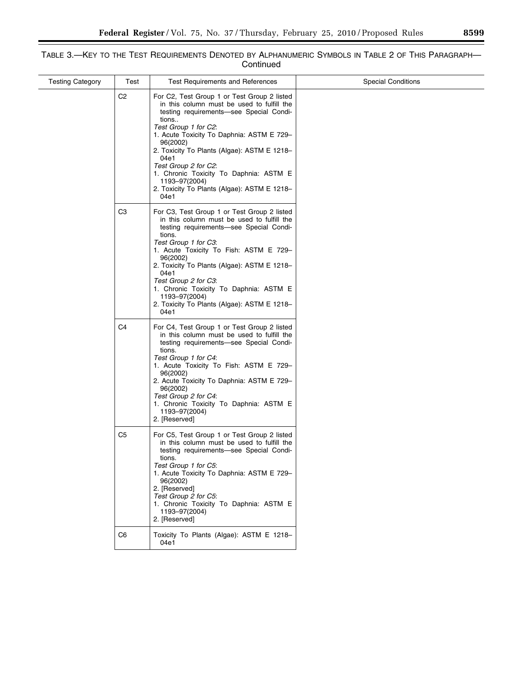# TABLE 3.—KEY TO THE TEST REQUIREMENTS DENOTED BY ALPHANUMERIC SYMBOLS IN TABLE 2 OF THIS PARAGRAPH— **Continued**

| <b>Testing Category</b> | Test           | <b>Test Requirements and References</b>                                                                                                                                                                                                                                                                                                                                                                                         | <b>Special Conditions</b> |
|-------------------------|----------------|---------------------------------------------------------------------------------------------------------------------------------------------------------------------------------------------------------------------------------------------------------------------------------------------------------------------------------------------------------------------------------------------------------------------------------|---------------------------|
|                         | C <sub>2</sub> | For C2, Test Group 1 or Test Group 2 listed<br>in this column must be used to fulfill the<br>testing requirements-see Special Condi-<br>tions<br>Test Group 1 for C2:<br>1. Acute Toxicity To Daphnia: ASTM E 729-<br>96(2002)<br>2. Toxicity To Plants (Algae): ASTM E 1218-<br>04e1<br>Test Group 2 for C2:<br>1. Chronic Toxicity To Daphnia: ASTM E<br>1193-97(2004)<br>2. Toxicity To Plants (Algae): ASTM E 1218-<br>04e1 |                           |
|                         | C <sub>3</sub> | For C3, Test Group 1 or Test Group 2 listed<br>in this column must be used to fulfill the<br>testing requirements-see Special Condi-<br>tions.<br>Test Group 1 for C3:<br>1. Acute Toxicity To Fish: ASTM E 729-<br>96(2002)<br>2. Toxicity To Plants (Algae): ASTM E 1218-<br>04e1<br>Test Group 2 for C3:<br>1. Chronic Toxicity To Daphnia: ASTM E<br>1193-97(2004)<br>2. Toxicity To Plants (Algae): ASTM E 1218-<br>04e1   |                           |
|                         | C <sub>4</sub> | For C4, Test Group 1 or Test Group 2 listed<br>in this column must be used to fulfill the<br>testing requirements-see Special Condi-<br>tions.<br>Test Group 1 for C4:<br>1. Acute Toxicity To Fish: ASTM E 729-<br>96(2002)<br>2. Acute Toxicity To Daphnia: ASTM E 729-<br>96(2002)<br>Test Group 2 for C4:<br>1. Chronic Toxicity To Daphnia: ASTM E<br>1193-97(2004)<br>2. [Reserved]                                       |                           |
|                         | C <sub>5</sub> | For C5, Test Group 1 or Test Group 2 listed<br>in this column must be used to fulfill the<br>testing requirements-see Special Condi-<br>tions.<br>Test Group 1 for C5:<br>1. Acute Toxicity To Daphnia: ASTM E 729-<br>96(2002)<br>2. [Reserved]<br>Test Group 2 for C5:<br>1. Chronic Toxicity To Daphnia: ASTM E<br>1193-97(2004)<br>2. [Reserved]                                                                            |                           |
|                         | C6             | Toxicity To Plants (Algae): ASTM E 1218-<br>04e1                                                                                                                                                                                                                                                                                                                                                                                |                           |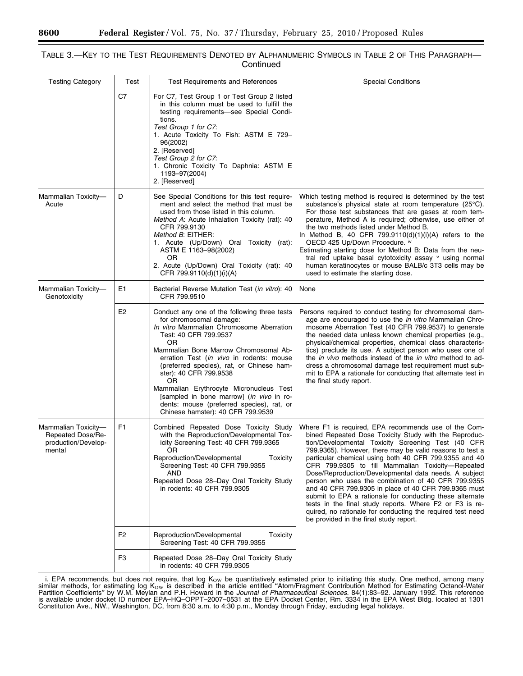# TABLE 3.—KEY TO THE TEST REQUIREMENTS DENOTED BY ALPHANUMERIC SYMBOLS IN TABLE 2 OF THIS PARAGRAPH— **Continued**

| <b>Testing Category</b>                                                          | Test           | <b>Test Requirements and References</b>                                                                                                                                                                                                                                                                                                                                                                                                                                                              | <b>Special Conditions</b>                                                                                                                                                                                                                                                                                                                                                                                                                                                                                                                                                                                                                                                                                                                          |
|----------------------------------------------------------------------------------|----------------|------------------------------------------------------------------------------------------------------------------------------------------------------------------------------------------------------------------------------------------------------------------------------------------------------------------------------------------------------------------------------------------------------------------------------------------------------------------------------------------------------|----------------------------------------------------------------------------------------------------------------------------------------------------------------------------------------------------------------------------------------------------------------------------------------------------------------------------------------------------------------------------------------------------------------------------------------------------------------------------------------------------------------------------------------------------------------------------------------------------------------------------------------------------------------------------------------------------------------------------------------------------|
|                                                                                  | C7             | For C7, Test Group 1 or Test Group 2 listed<br>in this column must be used to fulfill the<br>testing requirements-see Special Condi-<br>tions.<br>Test Group 1 for C7:<br>1. Acute Toxicity To Fish: ASTM E 729-<br>96(2002)<br>2. [Reserved]<br>Test Group 2 for C7:<br>1. Chronic Toxicity To Daphnia: ASTM E<br>1193-97(2004)<br>2. [Reserved]                                                                                                                                                    |                                                                                                                                                                                                                                                                                                                                                                                                                                                                                                                                                                                                                                                                                                                                                    |
| Mammalian Toxicity-<br>Acute                                                     | D              | See Special Conditions for this test require-<br>ment and select the method that must be<br>used from those listed in this column.<br><i>Method A: Acute Inhalation Toxicity (rat): 40</i><br>CFR 799.9130<br>Method B: EITHER:<br>1. Acute (Up/Down) Oral Toxicity (rat):<br>ASTM E 1163-98(2002)<br>0R<br>2. Acute (Up/Down) Oral Toxicity (rat): 40<br>CFR 799.9110(d)(1)(i)(A)                                                                                                                   | Which testing method is required is determined by the test<br>substance's physical state at room temperature (25°C).<br>For those test substances that are gases at room tem-<br>perature, Method A is required; otherwise, use either of<br>the two methods listed under Method B.<br>In Method B, 40 CFR $799.9110(d)(1)(i)(A)$ refers to the<br>OECD 425 Up/Down Procedure. iv<br>Estimating starting dose for Method B: Data from the neu-<br>tral red uptake basal cytotoxicity assay v using normal<br>human keratinocytes or mouse BALB/c 3T3 cells may be<br>used to estimate the starting dose.                                                                                                                                           |
| Mammalian Toxicity-<br>Genotoxicity                                              | E1             | Bacterial Reverse Mutation Test (in vitro): 40<br>CFR 799.9510                                                                                                                                                                                                                                                                                                                                                                                                                                       | None                                                                                                                                                                                                                                                                                                                                                                                                                                                                                                                                                                                                                                                                                                                                               |
|                                                                                  | E <sub>2</sub> | Conduct any one of the following three tests<br>for chromosomal damage:<br>In vitro Mammalian Chromosome Aberration<br>Test: 40 CFR 799.9537<br>0R<br>Mammalian Bone Marrow Chromosomal Ab-<br>erration Test <i>(in vivo</i> in rodents: mouse<br>(preferred species), rat, or Chinese ham-<br>ster): 40 CFR 799.9538<br>0R<br>Mammalian Erythrocyte Micronucleus Test<br>[sampled in bone marrow] (in vivo in ro-<br>dents: mouse (preferred species), rat, or<br>Chinese hamster): 40 CFR 799.9539 | Persons required to conduct testing for chromosomal dam-<br>age are encouraged to use the <i>in vitro</i> Mammalian Chro-<br>mosome Aberration Test (40 CFR 799.9537) to generate<br>the needed data unless known chemical properties (e.g.,<br>physical/chemical properties, chemical class characteris-<br>tics) preclude its use. A subject person who uses one of<br>the <i>in vivo</i> methods instead of the <i>in vitro</i> method to ad-<br>dress a chromosomal damage test requirement must sub-<br>mit to EPA a rationale for conducting that alternate test in<br>the final study report.                                                                                                                                               |
| Mammalian Toxicity-<br><b>Repeated Dose/Re-</b><br>production/Develop-<br>mental | F <sub>1</sub> | Combined Repeated Dose Toxicity Study<br>with the Reproduction/Developmental Tox-<br>icity Screening Test: 40 CFR 799.9365<br>OR<br>Reproduction/Developmental<br>Toxicity<br>Screening Test: 40 CFR 799.9355<br>AND<br>Repeated Dose 28–Day Oral Toxicity Study<br>in rodents: 40 CFR 799.9305                                                                                                                                                                                                      | Where F1 is required, EPA recommends use of the Com-<br>bined Repeated Dose Toxicity Study with the Reproduc-<br>tion/Developmental Toxicity Screening Test (40 CFR<br>799.9365). However, there may be valid reasons to test a<br>particular chemical using both 40 CFR 799.9355 and 40<br>CFR 799.9305 to fill Mammalian Toxicity-Repeated<br>Dose/Reproduction/Developmental data needs. A subject<br>person who uses the combination of 40 CFR 799.9355<br>and 40 CFR 799.9305 in place of 40 CFR 799.9365 must<br>submit to EPA a rationale for conducting these alternate<br>tests in the final study reports. Where F2 or F3 is re-<br>quired, no rationale for conducting the required test need<br>be provided in the final study report. |
|                                                                                  | F <sub>2</sub> | Reproduction/Developmental<br>Toxicity<br>Screening Test: 40 CFR 799.9355                                                                                                                                                                                                                                                                                                                                                                                                                            |                                                                                                                                                                                                                                                                                                                                                                                                                                                                                                                                                                                                                                                                                                                                                    |
|                                                                                  | F <sub>3</sub> | Repeated Dose 28-Day Oral Toxicity Study<br>in rodents: 40 CFR 799.9305                                                                                                                                                                                                                                                                                                                                                                                                                              |                                                                                                                                                                                                                                                                                                                                                                                                                                                                                                                                                                                                                                                                                                                                                    |

i. EPA recommends, but does not require, that log K<sub>OW</sub> be quantitatively estimated prior to initiating this study. One method, among many<br>similar methods, for estimating log K<sub>OW</sub> is described in the article entitled "Ato is available under docket ID number EPA–HQ–OPPT–2007–0531 at the EPA Docket Center, Rm. 3334 in the EPA West Bldg. located at 1301 Constitution Ave., NW., Washington, DC, from 8:30 a.m. to 4:30 p.m., Monday through Friday, excluding legal holidays.